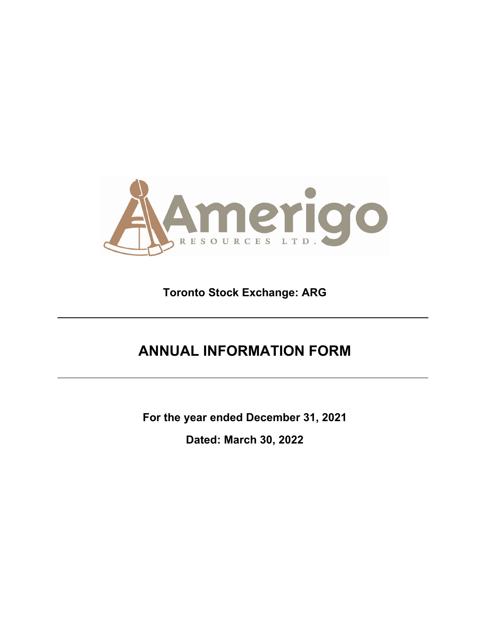

## **Toronto Stock Exchange: ARG**

# **ANNUAL INFORMATION FORM**

**For the year ended December 31, 2021** 

**Dated: March 30, 2022**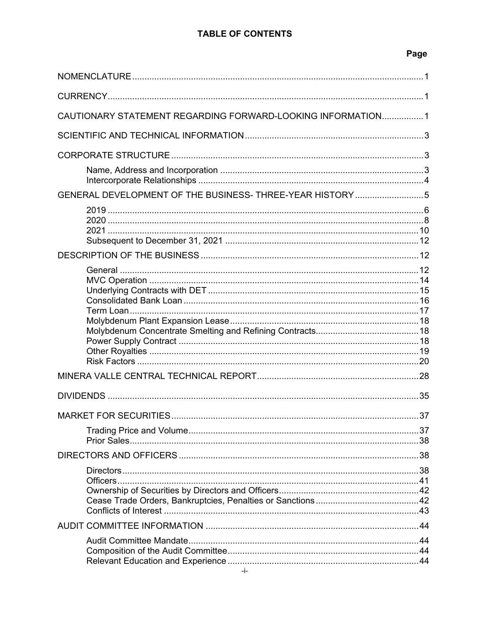## **TABLE OF CONTENTS**

## Page

| CAUTIONARY STATEMENT REGARDING FORWARD-LOOKING INFORMATION 1 |  |
|--------------------------------------------------------------|--|
|                                                              |  |
|                                                              |  |
|                                                              |  |
| GENERAL DEVELOPMENT OF THE BUSINESS-THREE-YEAR HISTORY 5     |  |
|                                                              |  |
|                                                              |  |
|                                                              |  |
|                                                              |  |
|                                                              |  |
|                                                              |  |
|                                                              |  |
|                                                              |  |
|                                                              |  |
|                                                              |  |
|                                                              |  |
|                                                              |  |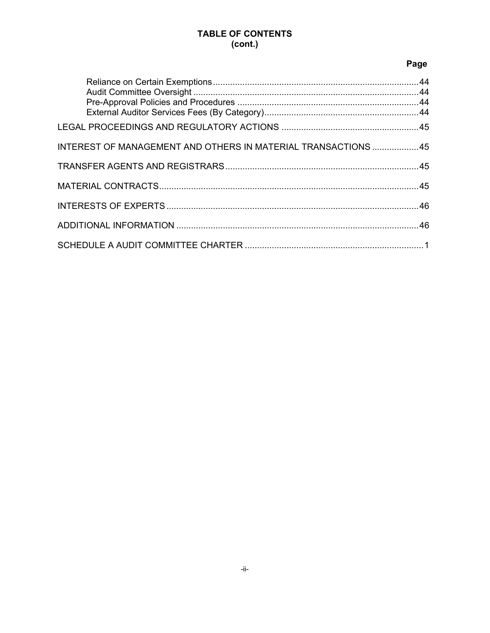## **TABLE OF CONTENTS**  $(cont.)$

## Page

| INTEREST OF MANAGEMENT AND OTHERS IN MATERIAL TRANSACTIONS 45 |  |
|---------------------------------------------------------------|--|
|                                                               |  |
|                                                               |  |
|                                                               |  |
|                                                               |  |
|                                                               |  |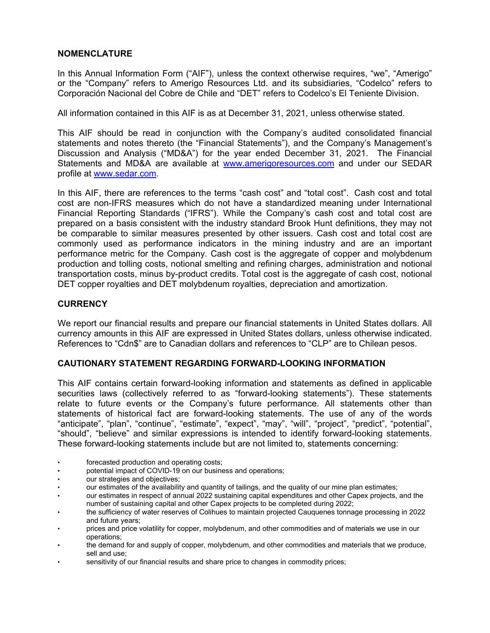## **NOMENCLATURE**

In this Annual Information Form ("AIF"), unless the context otherwise requires, "we", "Amerigo" or the "Company" refers to Amerigo Resources Ltd. and its subsidiaries, "Codelco" refers to Corporación Nacional del Cobre de Chile and "DET" refers to Codelco's El Teniente Division.

All information contained in this AIF is as at December 31, 2021, unless otherwise stated.

This AIF should be read in conjunction with the Company's audited consolidated financial statements and notes thereto (the "Financial Statements"), and the Company's Management's Discussion and Analysis ("MD&A") for the year ended December 31, 2021. The Financial Statements and MD&A are available at www.amerigoresources.com and under our SEDAR profile at www.sedar.com.

In this AIF, there are references to the terms "cash cost" and "total cost". Cash cost and total cost are non-IFRS measures which do not have a standardized meaning under International Financial Reporting Standards ("IFRS"). While the Company's cash cost and total cost are prepared on a basis consistent with the industry standard Brook Hunt definitions, they may not be comparable to similar measures presented by other issuers. Cash cost and total cost are commonly used as performance indicators in the mining industry and are an important performance metric for the Company. Cash cost is the aggregate of copper and molybdenum production and tolling costs, notional smelting and refining charges, administration and notional transportation costs, minus by-product credits. Total cost is the aggregate of cash cost, notional DET copper royalties and DET molybdenum royalties, depreciation and amortization.

#### **CURRENCY**

We report our financial results and prepare our financial statements in United States dollars. All currency amounts in this AIF are expressed in United States dollars, unless otherwise indicated. References to "Cdn\$" are to Canadian dollars and references to "CLP" are to Chilean pesos.

#### **CAUTIONARY STATEMENT REGARDING FORWARD-LOOKING INFORMATION**

This AIF contains certain forward-looking information and statements as defined in applicable securities laws (collectively referred to as "forward-looking statements"). These statements relate to future events or the Company's future performance. All statements other than statements of historical fact are forward-looking statements. The use of any of the words "anticipate", "plan", "continue", "estimate", "expect", "may", "will", "project", "predict", "potential", "should", "believe" and similar expressions is intended to identify forward-looking statements. These forward-looking statements include but are not limited to, statements concerning:

- forecasted production and operating costs;
- potential impact of COVID-19 on our business and operations;
- our strategies and objectives;
- our estimates of the availability and quantity of tailings, and the quality of our mine plan estimates;
- our estimates in respect of annual 2022 sustaining capital expenditures and other Capex projects, and the number of sustaining capital and other Capex projects to be completed during 2022;
- the sufficiency of water reserves of Colihues to maintain projected Cauquenes tonnage processing in 2022 and future years;
- prices and price volatility for copper, molybdenum, and other commodities and of materials we use in our operations;
- the demand for and supply of copper, molybdenum, and other commodities and materials that we produce, sell and use;
- sensitivity of our financial results and share price to changes in commodity prices;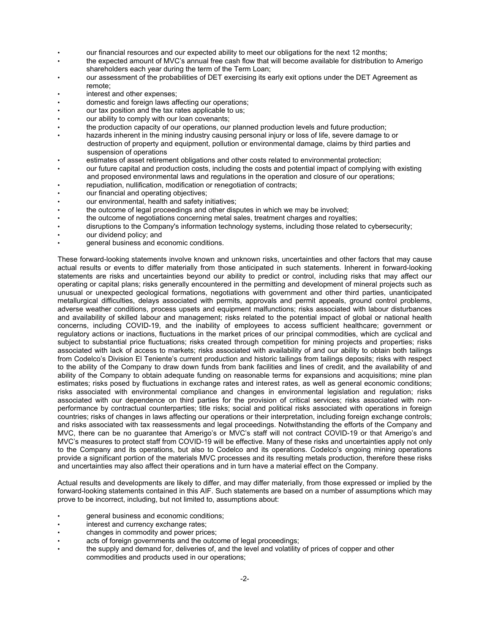- our financial resources and our expected ability to meet our obligations for the next 12 months;
- the expected amount of MVC's annual free cash flow that will become available for distribution to Amerigo shareholders each year during the term of the Term Loan;
- our assessment of the probabilities of DET exercising its early exit options under the DET Agreement as remote;
- interest and other expenses;
- domestic and foreign laws affecting our operations;
- our tax position and the tax rates applicable to us;
- our ability to comply with our loan covenants;
- the production capacity of our operations, our planned production levels and future production;
- hazards inherent in the mining industry causing personal injury or loss of life, severe damage to or destruction of property and equipment, pollution or environmental damage, claims by third parties and suspension of operations
- estimates of asset retirement obligations and other costs related to environmental protection;
- our future capital and production costs, including the costs and potential impact of complying with existing and proposed environmental laws and regulations in the operation and closure of our operations;
- repudiation, nullification, modification or renegotiation of contracts;
- our financial and operating objectives;
- our environmental, health and safety initiatives;
- the outcome of legal proceedings and other disputes in which we may be involved;
- the outcome of negotiations concerning metal sales, treatment charges and royalties;
- disruptions to the Company's information technology systems, including those related to cybersecurity;
- our dividend policy; and
- general business and economic conditions.

These forward-looking statements involve known and unknown risks, uncertainties and other factors that may cause actual results or events to differ materially from those anticipated in such statements. Inherent in forward-looking statements are risks and uncertainties beyond our ability to predict or control, including risks that may affect our operating or capital plans; risks generally encountered in the permitting and development of mineral projects such as unusual or unexpected geological formations, negotiations with government and other third parties, unanticipated metallurgical difficulties, delays associated with permits, approvals and permit appeals, ground control problems, adverse weather conditions, process upsets and equipment malfunctions; risks associated with labour disturbances and availability of skilled labour and management; risks related to the potential impact of global or national health concerns, including COVID-19, and the inability of employees to access sufficient healthcare; government or regulatory actions or inactions, fluctuations in the market prices of our principal commodities, which are cyclical and subject to substantial price fluctuations; risks created through competition for mining projects and properties; risks associated with lack of access to markets; risks associated with availability of and our ability to obtain both tailings from Codelco's Division El Teniente's current production and historic tailings from tailings deposits; risks with respect to the ability of the Company to draw down funds from bank facilities and lines of credit, and the availability of and ability of the Company to obtain adequate funding on reasonable terms for expansions and acquisitions; mine plan estimates; risks posed by fluctuations in exchange rates and interest rates, as well as general economic conditions; risks associated with environmental compliance and changes in environmental legislation and regulation; risks associated with our dependence on third parties for the provision of critical services; risks associated with nonperformance by contractual counterparties; title risks; social and political risks associated with operations in foreign countries; risks of changes in laws affecting our operations or their interpretation, including foreign exchange controls; and risks associated with tax reassessments and legal proceedings. Notwithstanding the efforts of the Company and MVC, there can be no guarantee that Amerigo's or MVC's staff will not contract COVID-19 or that Amerigo's and MVC's measures to protect staff from COVID-19 will be effective. Many of these risks and uncertainties apply not only to the Company and its operations, but also to Codelco and its operations. Codelco's ongoing mining operations provide a significant portion of the materials MVC processes and its resulting metals production, therefore these risks and uncertainties may also affect their operations and in turn have a material effect on the Company.

Actual results and developments are likely to differ, and may differ materially, from those expressed or implied by the forward-looking statements contained in this AIF. Such statements are based on a number of assumptions which may prove to be incorrect, including, but not limited to, assumptions about:

- general business and economic conditions;
- interest and currency exchange rates;
- changes in commodity and power prices;
- acts of foreign governments and the outcome of legal proceedings;
- the supply and demand for, deliveries of, and the level and volatility of prices of copper and other commodities and products used in our operations;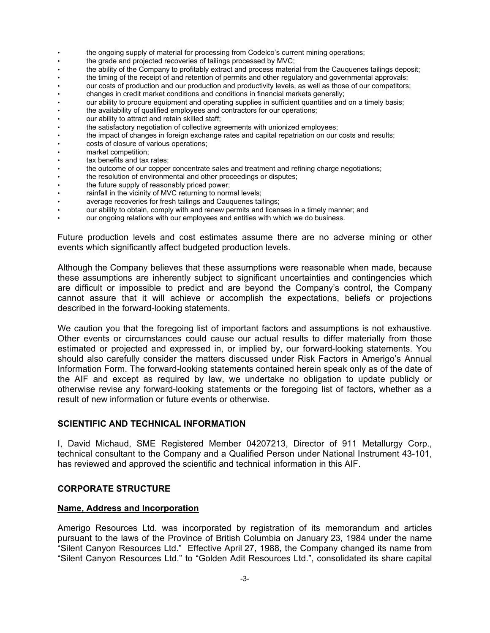- the ongoing supply of material for processing from Codelco's current mining operations;
- the grade and projected recoveries of tailings processed by MVC;
- the ability of the Company to profitably extract and process material from the Cauquenes tailings deposit;
- the timing of the receipt of and retention of permits and other regulatory and governmental approvals;
- our costs of production and our production and productivity levels, as well as those of our competitors;
- changes in credit market conditions and conditions in financial markets generally;
- our ability to procure equipment and operating supplies in sufficient quantities and on a timely basis;
- the availability of qualified employees and contractors for our operations;
- our ability to attract and retain skilled staff;
- the satisfactory negotiation of collective agreements with unionized employees;
- the impact of changes in foreign exchange rates and capital repatriation on our costs and results;
- costs of closure of various operations;
- market competition;
- tax benefits and tax rates;
- the outcome of our copper concentrate sales and treatment and refining charge negotiations;
- the resolution of environmental and other proceedings or disputes;
- the future supply of reasonably priced power;
- rainfall in the vicinity of MVC returning to normal levels;
- average recoveries for fresh tailings and Cauquenes tailings;
- our ability to obtain, comply with and renew permits and licenses in a timely manner; and
- our ongoing relations with our employees and entities with which we do business.

Future production levels and cost estimates assume there are no adverse mining or other events which significantly affect budgeted production levels.

Although the Company believes that these assumptions were reasonable when made, because these assumptions are inherently subject to significant uncertainties and contingencies which are difficult or impossible to predict and are beyond the Company's control, the Company cannot assure that it will achieve or accomplish the expectations, beliefs or projections described in the forward-looking statements.

We caution you that the foregoing list of important factors and assumptions is not exhaustive. Other events or circumstances could cause our actual results to differ materially from those estimated or projected and expressed in, or implied by, our forward-looking statements. You should also carefully consider the matters discussed under Risk Factors in Amerigo's Annual Information Form. The forward-looking statements contained herein speak only as of the date of the AIF and except as required by law, we undertake no obligation to update publicly or otherwise revise any forward-looking statements or the foregoing list of factors, whether as a result of new information or future events or otherwise.

#### **SCIENTIFIC AND TECHNICAL INFORMATION**

I, David Michaud, SME Registered Member 04207213, Director of 911 Metallurgy Corp., technical consultant to the Company and a Qualified Person under National Instrument 43-101, has reviewed and approved the scientific and technical information in this AIF.

## **CORPORATE STRUCTURE**

#### **Name, Address and Incorporation**

Amerigo Resources Ltd. was incorporated by registration of its memorandum and articles pursuant to the laws of the Province of British Columbia on January 23, 1984 under the name "Silent Canyon Resources Ltd." Effective April 27, 1988, the Company changed its name from "Silent Canyon Resources Ltd." to "Golden Adit Resources Ltd.", consolidated its share capital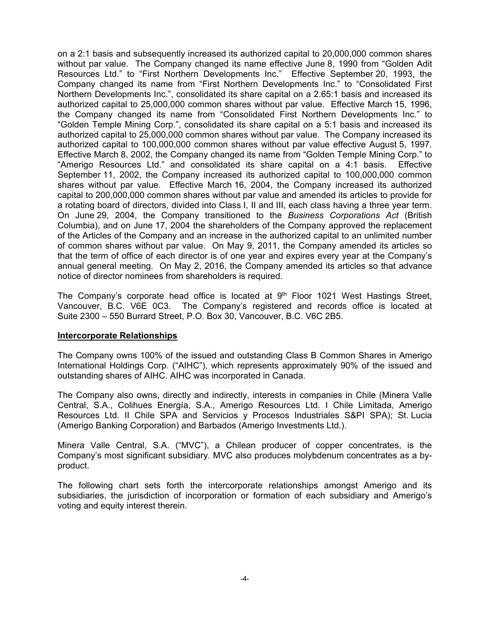on a 2:1 basis and subsequently increased its authorized capital to 20,000,000 common shares without par value. The Company changed its name effective June 8, 1990 from "Golden Adit Resources Ltd." to "First Northern Developments Inc." Effective September 20, 1993, the Company changed its name from "First Northern Developments Inc." to "Consolidated First Northern Developments Inc.", consolidated its share capital on a 2.65:1 basis and increased its authorized capital to 25,000,000 common shares without par value. Effective March 15, 1996, the Company changed its name from "Consolidated First Northern Developments Inc." to "Golden Temple Mining Corp.", consolidated its share capital on a 5:1 basis and increased its authorized capital to 25,000,000 common shares without par value. The Company increased its authorized capital to 100,000,000 common shares without par value effective August 5, 1997. Effective March 8, 2002, the Company changed its name from "Golden Temple Mining Corp." to "Amerigo Resources Ltd." and consolidated its share capital on a 4:1 basis. Effective September 11, 2002, the Company increased its authorized capital to 100,000,000 common shares without par value. Effective March 16, 2004, the Company increased its authorized capital to 200,000,000 common shares without par value and amended its articles to provide for a rotating board of directors, divided into Class I, II and III, each class having a three year term. On June 29, 2004, the Company transitioned to the *Business Corporations Act* (British Columbia), and on June 17, 2004 the shareholders of the Company approved the replacement of the Articles of the Company and an increase in the authorized capital to an unlimited number of common shares without par value. On May 9, 2011, the Company amended its articles so that the term of office of each director is of one year and expires every year at the Company's annual general meeting. On May 2, 2016, the Company amended its articles so that advance notice of director nominees from shareholders is required.

The Company's corporate head office is located at  $9<sup>th</sup>$  Floor 1021 West Hastings Street, Vancouver, B.C. V6E 0C3. The Company's registered and records office is located at Suite 2300 – 550 Burrard Street, P.O. Box 30, Vancouver, B.C. V6C 2B5.

#### **Intercorporate Relationships**

The Company owns 100% of the issued and outstanding Class B Common Shares in Amerigo International Holdings Corp. ("AIHC"), which represents approximately 90% of the issued and outstanding shares of AIHC. AIHC was incorporated in Canada.

The Company also owns, directly and indirectly, interests in companies in Chile (Minera Valle Central, S.A., Colihues Energía, S.A., Amerigo Resources Ltd. I Chile Limitada, Amerigo Resources Ltd. II Chile SPA and Servicios y Procesos Industriales S&PI SPA); St. Lucia (Amerigo Banking Corporation) and Barbados (Amerigo Investments Ltd.).

Minera Valle Central, S.A. ("MVC"), a Chilean producer of copper concentrates, is the Company's most significant subsidiary. MVC also produces molybdenum concentrates as a byproduct.

The following chart sets forth the intercorporate relationships amongst Amerigo and its subsidiaries, the jurisdiction of incorporation or formation of each subsidiary and Amerigo's voting and equity interest therein.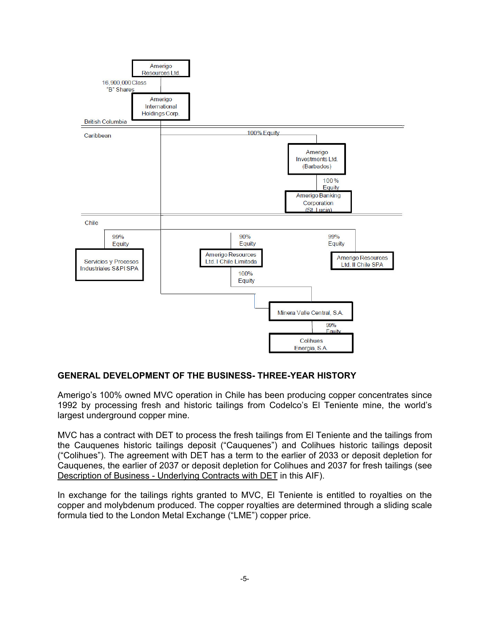

#### **GENERAL DEVELOPMENT OF THE BUSINESS- THREE-YEAR HISTORY**

Amerigo's 100% owned MVC operation in Chile has been producing copper concentrates since 1992 by processing fresh and historic tailings from Codelco's El Teniente mine, the world's largest underground copper mine.

MVC has a contract with DET to process the fresh tailings from El Teniente and the tailings from the Cauquenes historic tailings deposit ("Cauquenes") and Colihues historic tailings deposit ("Colihues"). The agreement with DET has a term to the earlier of 2033 or deposit depletion for Cauquenes, the earlier of 2037 or deposit depletion for Colihues and 2037 for fresh tailings (see Description of Business - Underlying Contracts with DET in this AIF).

In exchange for the tailings rights granted to MVC, El Teniente is entitled to royalties on the copper and molybdenum produced. The copper royalties are determined through a sliding scale formula tied to the London Metal Exchange ("LME") copper price.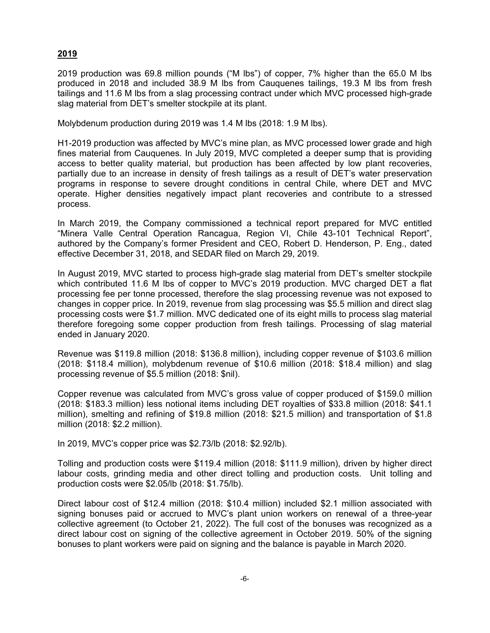## **2019**

2019 production was 69.8 million pounds ("M lbs") of copper, 7% higher than the 65.0 M lbs produced in 2018 and included 38.9 M lbs from Cauquenes tailings, 19.3 M lbs from fresh tailings and 11.6 M lbs from a slag processing contract under which MVC processed high-grade slag material from DET's smelter stockpile at its plant.

Molybdenum production during 2019 was 1.4 M lbs (2018: 1.9 M lbs).

H1-2019 production was affected by MVC's mine plan, as MVC processed lower grade and high fines material from Cauquenes. In July 2019, MVC completed a deeper sump that is providing access to better quality material, but production has been affected by low plant recoveries, partially due to an increase in density of fresh tailings as a result of DET's water preservation programs in response to severe drought conditions in central Chile, where DET and MVC operate. Higher densities negatively impact plant recoveries and contribute to a stressed process.

In March 2019, the Company commissioned a technical report prepared for MVC entitled "Minera Valle Central Operation Rancagua, Region VI, Chile 43-101 Technical Report", authored by the Company's former President and CEO, Robert D. Henderson, P. Eng., dated effective December 31, 2018, and SEDAR filed on March 29, 2019.

In August 2019, MVC started to process high-grade slag material from DET's smelter stockpile which contributed 11.6 M lbs of copper to MVC's 2019 production. MVC charged DET a flat processing fee per tonne processed, therefore the slag processing revenue was not exposed to changes in copper price. In 2019, revenue from slag processing was \$5.5 million and direct slag processing costs were \$1.7 million. MVC dedicated one of its eight mills to process slag material therefore foregoing some copper production from fresh tailings. Processing of slag material ended in January 2020.

Revenue was \$119.8 million (2018: \$136.8 million), including copper revenue of \$103.6 million (2018: \$118.4 million), molybdenum revenue of \$10.6 million (2018: \$18.4 million) and slag processing revenue of \$5.5 million (2018: \$nil).

Copper revenue was calculated from MVC's gross value of copper produced of \$159.0 million (2018: \$183.3 million) less notional items including DET royalties of \$33.8 million (2018: \$41.1 million), smelting and refining of \$19.8 million (2018: \$21.5 million) and transportation of \$1.8 million (2018: \$2.2 million).

In 2019, MVC's copper price was \$2.73/lb (2018: \$2.92/lb).

Tolling and production costs were \$119.4 million (2018: \$111.9 million), driven by higher direct labour costs, grinding media and other direct tolling and production costs. Unit tolling and production costs were \$2.05/lb (2018: \$1.75/lb).

Direct labour cost of \$12.4 million (2018: \$10.4 million) included \$2.1 million associated with signing bonuses paid or accrued to MVC's plant union workers on renewal of a three-year collective agreement (to October 21, 2022). The full cost of the bonuses was recognized as a direct labour cost on signing of the collective agreement in October 2019. 50% of the signing bonuses to plant workers were paid on signing and the balance is payable in March 2020.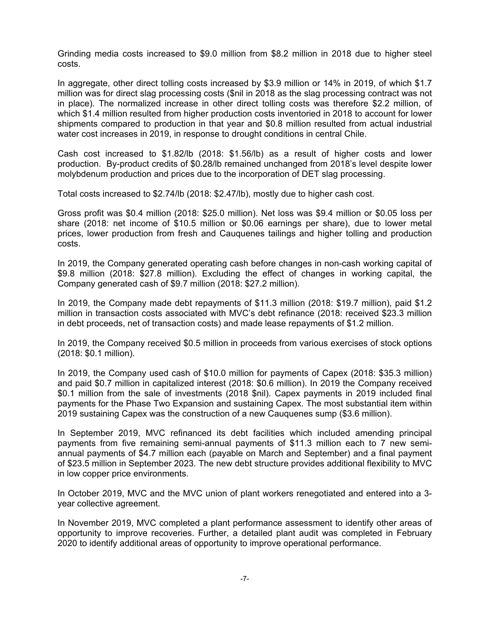Grinding media costs increased to \$9.0 million from \$8.2 million in 2018 due to higher steel costs.

In aggregate, other direct tolling costs increased by \$3.9 million or 14% in 2019, of which \$1.7 million was for direct slag processing costs (\$nil in 2018 as the slag processing contract was not in place). The normalized increase in other direct tolling costs was therefore \$2.2 million, of which \$1.4 million resulted from higher production costs inventoried in 2018 to account for lower shipments compared to production in that year and \$0.8 million resulted from actual industrial water cost increases in 2019, in response to drought conditions in central Chile.

Cash cost increased to \$1.82/lb (2018: \$1.56/lb) as a result of higher costs and lower production. By-product credits of \$0.28/lb remained unchanged from 2018's level despite lower molybdenum production and prices due to the incorporation of DET slag processing.

Total costs increased to \$2.74/lb (2018: \$2.47/lb), mostly due to higher cash cost.

Gross profit was \$0.4 million (2018: \$25.0 million). Net loss was \$9.4 million or \$0.05 loss per share (2018: net income of \$10.5 million or \$0.06 earnings per share), due to lower metal prices, lower production from fresh and Cauquenes tailings and higher tolling and production costs.

In 2019, the Company generated operating cash before changes in non-cash working capital of \$9.8 million (2018: \$27.8 million). Excluding the effect of changes in working capital, the Company generated cash of \$9.7 million (2018: \$27.2 million).

In 2019, the Company made debt repayments of \$11.3 million (2018: \$19.7 million), paid \$1.2 million in transaction costs associated with MVC's debt refinance (2018: received \$23.3 million in debt proceeds, net of transaction costs) and made lease repayments of \$1.2 million.

In 2019, the Company received \$0.5 million in proceeds from various exercises of stock options (2018: \$0.1 million).

In 2019, the Company used cash of \$10.0 million for payments of Capex (2018: \$35.3 million) and paid \$0.7 million in capitalized interest (2018: \$0.6 million). In 2019 the Company received \$0.1 million from the sale of investments (2018 \$nil). Capex payments in 2019 included final payments for the Phase Two Expansion and sustaining Capex. The most substantial item within 2019 sustaining Capex was the construction of a new Cauquenes sump (\$3.6 million).

In September 2019, MVC refinanced its debt facilities which included amending principal payments from five remaining semi-annual payments of \$11.3 million each to 7 new semiannual payments of \$4.7 million each (payable on March and September) and a final payment of \$23.5 million in September 2023. The new debt structure provides additional flexibility to MVC in low copper price environments.

In October 2019, MVC and the MVC union of plant workers renegotiated and entered into a 3 year collective agreement.

In November 2019, MVC completed a plant performance assessment to identify other areas of opportunity to improve recoveries. Further, a detailed plant audit was completed in February 2020 to identify additional areas of opportunity to improve operational performance.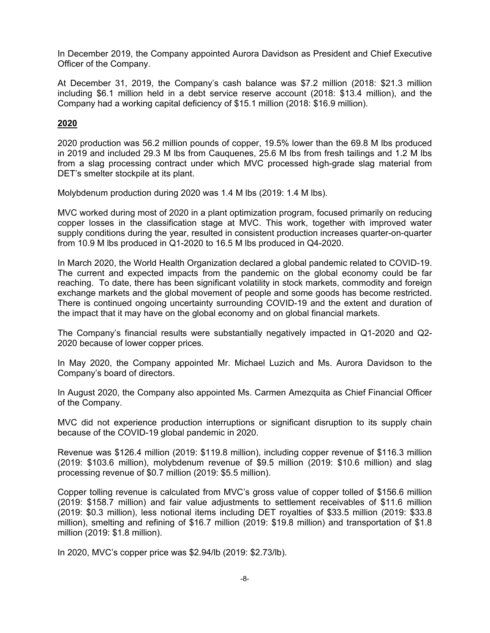In December 2019, the Company appointed Aurora Davidson as President and Chief Executive Officer of the Company.

At December 31, 2019, the Company's cash balance was \$7.2 million (2018: \$21.3 million including \$6.1 million held in a debt service reserve account (2018: \$13.4 million), and the Company had a working capital deficiency of \$15.1 million (2018: \$16.9 million).

## **2020**

2020 production was 56.2 million pounds of copper, 19.5% lower than the 69.8 M lbs produced in 2019 and included 29.3 M lbs from Cauquenes, 25.6 M lbs from fresh tailings and 1.2 M lbs from a slag processing contract under which MVC processed high-grade slag material from DET's smelter stockpile at its plant.

Molybdenum production during 2020 was 1.4 M lbs (2019: 1.4 M lbs).

MVC worked during most of 2020 in a plant optimization program, focused primarily on reducing copper losses in the classification stage at MVC. This work, together with improved water supply conditions during the year, resulted in consistent production increases quarter-on-quarter from 10.9 M lbs produced in Q1-2020 to 16.5 M lbs produced in Q4-2020.

In March 2020, the World Health Organization declared a global pandemic related to COVID-19. The current and expected impacts from the pandemic on the global economy could be far reaching. To date, there has been significant volatility in stock markets, commodity and foreign exchange markets and the global movement of people and some goods has become restricted. There is continued ongoing uncertainty surrounding COVID-19 and the extent and duration of the impact that it may have on the global economy and on global financial markets.

The Company's financial results were substantially negatively impacted in Q1-2020 and Q2- 2020 because of lower copper prices.

In May 2020, the Company appointed Mr. Michael Luzich and Ms. Aurora Davidson to the Company's board of directors.

In August 2020, the Company also appointed Ms. Carmen Amezquita as Chief Financial Officer of the Company.

MVC did not experience production interruptions or significant disruption to its supply chain because of the COVID-19 global pandemic in 2020.

Revenue was \$126.4 million (2019: \$119.8 million), including copper revenue of \$116.3 million (2019: \$103.6 million), molybdenum revenue of \$9.5 million (2019: \$10.6 million) and slag processing revenue of \$0.7 million (2019: \$5.5 million).

Copper tolling revenue is calculated from MVC's gross value of copper tolled of \$156.6 million (2019: \$158.7 million) and fair value adjustments to settlement receivables of \$11.6 million (2019: \$0.3 million), less notional items including DET royalties of \$33.5 million (2019: \$33.8 million), smelting and refining of \$16.7 million (2019: \$19.8 million) and transportation of \$1.8 million (2019: \$1.8 million).

In 2020, MVC's copper price was \$2.94/lb (2019: \$2.73/lb).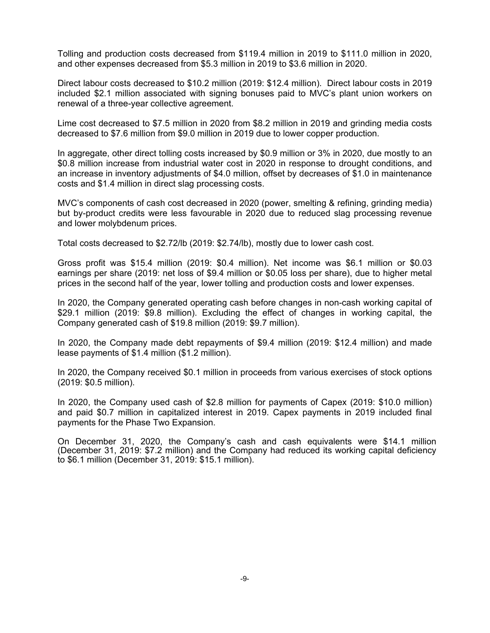Tolling and production costs decreased from \$119.4 million in 2019 to \$111.0 million in 2020, and other expenses decreased from \$5.3 million in 2019 to \$3.6 million in 2020.

Direct labour costs decreased to \$10.2 million (2019: \$12.4 million). Direct labour costs in 2019 included \$2.1 million associated with signing bonuses paid to MVC's plant union workers on renewal of a three-year collective agreement.

Lime cost decreased to \$7.5 million in 2020 from \$8.2 million in 2019 and grinding media costs decreased to \$7.6 million from \$9.0 million in 2019 due to lower copper production.

In aggregate, other direct tolling costs increased by \$0.9 million or 3% in 2020, due mostly to an \$0.8 million increase from industrial water cost in 2020 in response to drought conditions, and an increase in inventory adjustments of \$4.0 million, offset by decreases of \$1.0 in maintenance costs and \$1.4 million in direct slag processing costs.

MVC's components of cash cost decreased in 2020 (power, smelting & refining, grinding media) but by-product credits were less favourable in 2020 due to reduced slag processing revenue and lower molybdenum prices.

Total costs decreased to \$2.72/lb (2019: \$2.74/lb), mostly due to lower cash cost.

Gross profit was \$15.4 million (2019: \$0.4 million). Net income was \$6.1 million or \$0.03 earnings per share (2019: net loss of \$9.4 million or \$0.05 loss per share), due to higher metal prices in the second half of the year, lower tolling and production costs and lower expenses.

In 2020, the Company generated operating cash before changes in non-cash working capital of \$29.1 million (2019: \$9.8 million). Excluding the effect of changes in working capital, the Company generated cash of \$19.8 million (2019: \$9.7 million).

In 2020, the Company made debt repayments of \$9.4 million (2019: \$12.4 million) and made lease payments of \$1.4 million (\$1.2 million).

In 2020, the Company received \$0.1 million in proceeds from various exercises of stock options (2019: \$0.5 million).

In 2020, the Company used cash of \$2.8 million for payments of Capex (2019: \$10.0 million) and paid \$0.7 million in capitalized interest in 2019. Capex payments in 2019 included final payments for the Phase Two Expansion.

On December 31, 2020, the Company's cash and cash equivalents were \$14.1 million (December 31, 2019: \$7.2 million) and the Company had reduced its working capital deficiency to \$6.1 million (December 31, 2019: \$15.1 million).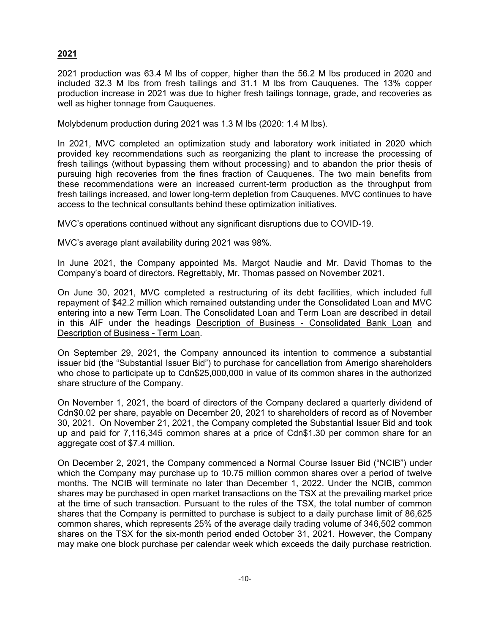## **2021**

2021 production was 63.4 M lbs of copper, higher than the 56.2 M lbs produced in 2020 and included 32.3 M lbs from fresh tailings and 31.1 M lbs from Cauquenes. The 13% copper production increase in 2021 was due to higher fresh tailings tonnage, grade, and recoveries as well as higher tonnage from Cauquenes.

Molybdenum production during 2021 was 1.3 M lbs (2020: 1.4 M lbs).

In 2021, MVC completed an optimization study and laboratory work initiated in 2020 which provided key recommendations such as reorganizing the plant to increase the processing of fresh tailings (without bypassing them without processing) and to abandon the prior thesis of pursuing high recoveries from the fines fraction of Cauquenes. The two main benefits from these recommendations were an increased current-term production as the throughput from fresh tailings increased, and lower long-term depletion from Cauquenes. MVC continues to have access to the technical consultants behind these optimization initiatives.

MVC's operations continued without any significant disruptions due to COVID-19.

MVC's average plant availability during 2021 was 98%.

In June 2021, the Company appointed Ms. Margot Naudie and Mr. David Thomas to the Company's board of directors. Regrettably, Mr. Thomas passed on November 2021.

On June 30, 2021, MVC completed a restructuring of its debt facilities, which included full repayment of \$42.2 million which remained outstanding under the Consolidated Loan and MVC entering into a new Term Loan. The Consolidated Loan and Term Loan are described in detail in this AIF under the headings Description of Business - Consolidated Bank Loan and Description of Business - Term Loan.

On September 29, 2021, the Company announced its intention to commence a substantial issuer bid (the "Substantial Issuer Bid") to purchase for cancellation from Amerigo shareholders who chose to participate up to Cdn\$25,000,000 in value of its common shares in the authorized share structure of the Company.

On November 1, 2021, the board of directors of the Company declared a quarterly dividend of Cdn\$0.02 per share, payable on December 20, 2021 to shareholders of record as of November 30, 2021. On November 21, 2021, the Company completed the Substantial Issuer Bid and took up and paid for 7,116,345 common shares at a price of Cdn\$1.30 per common share for an aggregate cost of \$7.4 million.

On December 2, 2021, the Company commenced a Normal Course Issuer Bid ("NCIB") under which the Company may purchase up to 10.75 million common shares over a period of twelve months. The NCIB will terminate no later than December 1, 2022. Under the NCIB, common shares may be purchased in open market transactions on the TSX at the prevailing market price at the time of such transaction. Pursuant to the rules of the TSX, the total number of common shares that the Company is permitted to purchase is subject to a daily purchase limit of 86,625 common shares, which represents 25% of the average daily trading volume of 346,502 common shares on the TSX for the six-month period ended October 31, 2021. However, the Company may make one block purchase per calendar week which exceeds the daily purchase restriction.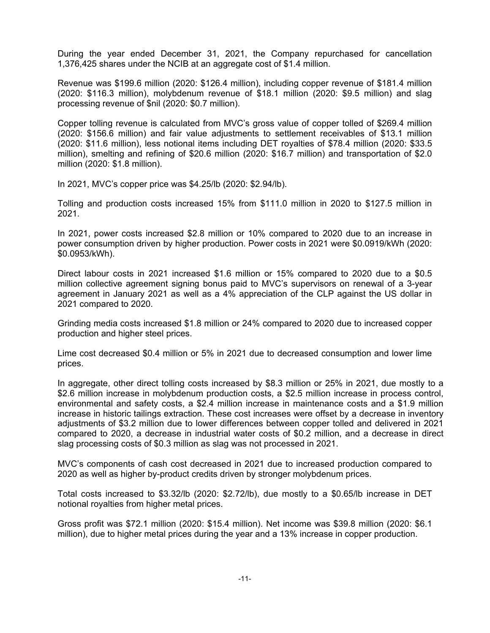During the year ended December 31, 2021, the Company repurchased for cancellation 1,376,425 shares under the NCIB at an aggregate cost of \$1.4 million.

Revenue was \$199.6 million (2020: \$126.4 million), including copper revenue of \$181.4 million (2020: \$116.3 million), molybdenum revenue of \$18.1 million (2020: \$9.5 million) and slag processing revenue of \$nil (2020: \$0.7 million).

Copper tolling revenue is calculated from MVC's gross value of copper tolled of \$269.4 million (2020: \$156.6 million) and fair value adjustments to settlement receivables of \$13.1 million (2020: \$11.6 million), less notional items including DET royalties of \$78.4 million (2020: \$33.5 million), smelting and refining of \$20.6 million (2020: \$16.7 million) and transportation of \$2.0 million (2020: \$1.8 million).

In 2021, MVC's copper price was \$4.25/lb (2020: \$2.94/lb).

Tolling and production costs increased 15% from \$111.0 million in 2020 to \$127.5 million in 2021.

In 2021, power costs increased \$2.8 million or 10% compared to 2020 due to an increase in power consumption driven by higher production. Power costs in 2021 were \$0.0919/kWh (2020: \$0.0953/kWh).

Direct labour costs in 2021 increased \$1.6 million or 15% compared to 2020 due to a \$0.5 million collective agreement signing bonus paid to MVC's supervisors on renewal of a 3-year agreement in January 2021 as well as a 4% appreciation of the CLP against the US dollar in 2021 compared to 2020.

Grinding media costs increased \$1.8 million or 24% compared to 2020 due to increased copper production and higher steel prices.

Lime cost decreased \$0.4 million or 5% in 2021 due to decreased consumption and lower lime prices.

In aggregate, other direct tolling costs increased by \$8.3 million or 25% in 2021, due mostly to a \$2.6 million increase in molybdenum production costs, a \$2.5 million increase in process control, environmental and safety costs, a \$2.4 million increase in maintenance costs and a \$1.9 million increase in historic tailings extraction. These cost increases were offset by a decrease in inventory adjustments of \$3.2 million due to lower differences between copper tolled and delivered in 2021 compared to 2020, a decrease in industrial water costs of \$0.2 million, and a decrease in direct slag processing costs of \$0.3 million as slag was not processed in 2021.

MVC's components of cash cost decreased in 2021 due to increased production compared to 2020 as well as higher by-product credits driven by stronger molybdenum prices.

Total costs increased to \$3.32/lb (2020: \$2.72/lb), due mostly to a \$0.65/lb increase in DET notional royalties from higher metal prices.

Gross profit was \$72.1 million (2020: \$15.4 million). Net income was \$39.8 million (2020: \$6.1 million), due to higher metal prices during the year and a 13% increase in copper production.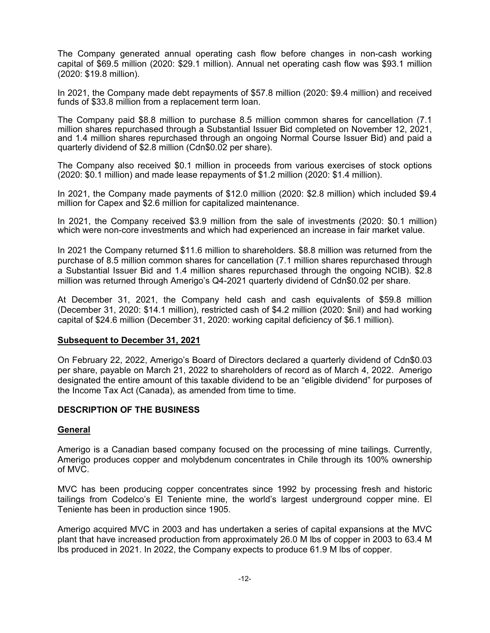The Company generated annual operating cash flow before changes in non-cash working capital of \$69.5 million (2020: \$29.1 million). Annual net operating cash flow was \$93.1 million (2020: \$19.8 million).

In 2021, the Company made debt repayments of \$57.8 million (2020: \$9.4 million) and received funds of \$33.8 million from a replacement term loan.

The Company paid \$8.8 million to purchase 8.5 million common shares for cancellation (7.1 million shares repurchased through a Substantial Issuer Bid completed on November 12, 2021, and 1.4 million shares repurchased through an ongoing Normal Course Issuer Bid) and paid a quarterly dividend of \$2.8 million (Cdn\$0.02 per share).

The Company also received \$0.1 million in proceeds from various exercises of stock options (2020: \$0.1 million) and made lease repayments of \$1.2 million (2020: \$1.4 million).

In 2021, the Company made payments of \$12.0 million (2020: \$2.8 million) which included \$9.4 million for Capex and \$2.6 million for capitalized maintenance.

In 2021, the Company received \$3.9 million from the sale of investments (2020: \$0.1 million) which were non-core investments and which had experienced an increase in fair market value.

In 2021 the Company returned \$11.6 million to shareholders. \$8.8 million was returned from the purchase of 8.5 million common shares for cancellation (7.1 million shares repurchased through a Substantial Issuer Bid and 1.4 million shares repurchased through the ongoing NCIB). \$2.8 million was returned through Amerigo's Q4-2021 quarterly dividend of Cdn\$0.02 per share.

At December 31, 2021, the Company held cash and cash equivalents of \$59.8 million (December 31, 2020: \$14.1 million), restricted cash of \$4.2 million (2020: \$nil) and had working capital of \$24.6 million (December 31, 2020: working capital deficiency of \$6.1 million).

#### **Subsequent to December 31, 2021**

On February 22, 2022, Amerigo's Board of Directors declared a quarterly dividend of Cdn\$0.03 per share, payable on March 21, 2022 to shareholders of record as of March 4, 2022. Amerigo designated the entire amount of this taxable dividend to be an "eligible dividend" for purposes of the Income Tax Act (Canada), as amended from time to time.

#### **DESCRIPTION OF THE BUSINESS**

#### **General**

Amerigo is a Canadian based company focused on the processing of mine tailings. Currently, Amerigo produces copper and molybdenum concentrates in Chile through its 100% ownership of MVC.

MVC has been producing copper concentrates since 1992 by processing fresh and historic tailings from Codelco's El Teniente mine, the world's largest underground copper mine. El Teniente has been in production since 1905.

Amerigo acquired MVC in 2003 and has undertaken a series of capital expansions at the MVC plant that have increased production from approximately 26.0 M lbs of copper in 2003 to 63.4 M lbs produced in 2021. In 2022, the Company expects to produce 61.9 M lbs of copper.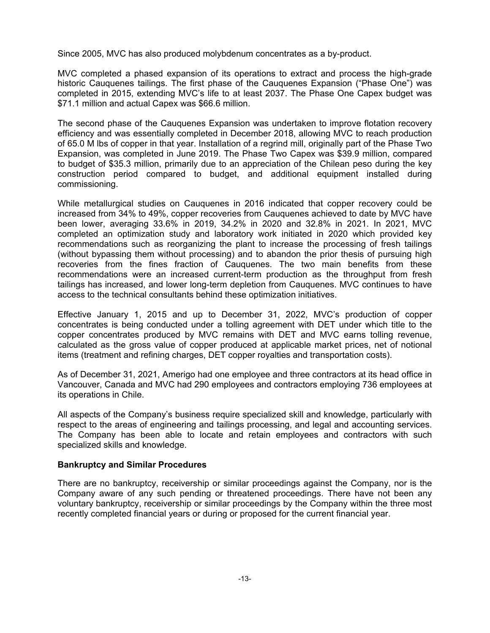Since 2005, MVC has also produced molybdenum concentrates as a by-product.

MVC completed a phased expansion of its operations to extract and process the high-grade historic Cauquenes tailings. The first phase of the Cauquenes Expansion ("Phase One") was completed in 2015, extending MVC's life to at least 2037. The Phase One Capex budget was \$71.1 million and actual Capex was \$66.6 million.

The second phase of the Cauquenes Expansion was undertaken to improve flotation recovery efficiency and was essentially completed in December 2018, allowing MVC to reach production of 65.0 M lbs of copper in that year. Installation of a regrind mill, originally part of the Phase Two Expansion, was completed in June 2019. The Phase Two Capex was \$39.9 million, compared to budget of \$35.3 million, primarily due to an appreciation of the Chilean peso during the key construction period compared to budget, and additional equipment installed during commissioning.

While metallurgical studies on Cauquenes in 2016 indicated that copper recovery could be increased from 34% to 49%, copper recoveries from Cauquenes achieved to date by MVC have been lower, averaging 33.6% in 2019, 34.2% in 2020 and 32.8% in 2021. In 2021, MVC completed an optimization study and laboratory work initiated in 2020 which provided key recommendations such as reorganizing the plant to increase the processing of fresh tailings (without bypassing them without processing) and to abandon the prior thesis of pursuing high recoveries from the fines fraction of Cauquenes. The two main benefits from these recommendations were an increased current-term production as the throughput from fresh tailings has increased, and lower long-term depletion from Cauquenes. MVC continues to have access to the technical consultants behind these optimization initiatives.

Effective January 1, 2015 and up to December 31, 2022, MVC's production of copper concentrates is being conducted under a tolling agreement with DET under which title to the copper concentrates produced by MVC remains with DET and MVC earns tolling revenue, calculated as the gross value of copper produced at applicable market prices, net of notional items (treatment and refining charges, DET copper royalties and transportation costs).

As of December 31, 2021, Amerigo had one employee and three contractors at its head office in Vancouver, Canada and MVC had 290 employees and contractors employing 736 employees at its operations in Chile.

All aspects of the Company's business require specialized skill and knowledge, particularly with respect to the areas of engineering and tailings processing, and legal and accounting services. The Company has been able to locate and retain employees and contractors with such specialized skills and knowledge.

#### **Bankruptcy and Similar Procedures**

There are no bankruptcy, receivership or similar proceedings against the Company, nor is the Company aware of any such pending or threatened proceedings. There have not been any voluntary bankruptcy, receivership or similar proceedings by the Company within the three most recently completed financial years or during or proposed for the current financial year.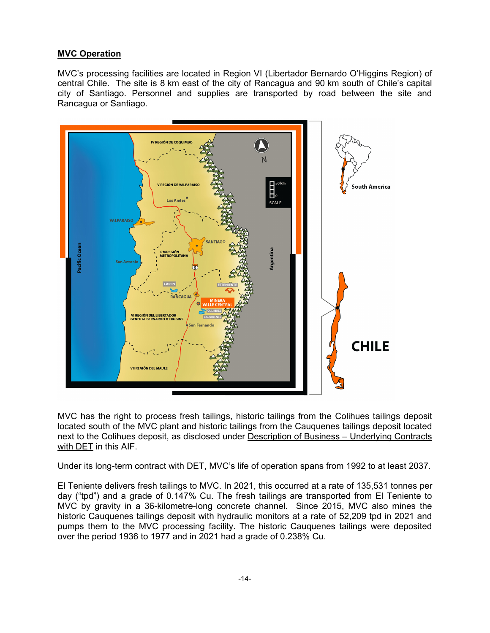## **MVC Operation**

MVC's processing facilities are located in Region VI (Libertador Bernardo O'Higgins Region) of central Chile. The site is 8 km east of the city of Rancagua and 90 km south of Chile's capital city of Santiago. Personnel and supplies are transported by road between the site and Rancagua or Santiago.



MVC has the right to process fresh tailings, historic tailings from the Colihues tailings deposit located south of the MVC plant and historic tailings from the Cauquenes tailings deposit located next to the Colihues deposit, as disclosed under Description of Business – Underlying Contracts with DET in this AIF.

Under its long-term contract with DET, MVC's life of operation spans from 1992 to at least 2037.

El Teniente delivers fresh tailings to MVC. In 2021, this occurred at a rate of 135,531 tonnes per day ("tpd") and a grade of 0.147% Cu. The fresh tailings are transported from El Teniente to MVC by gravity in a 36-kilometre-long concrete channel. Since 2015, MVC also mines the historic Cauquenes tailings deposit with hydraulic monitors at a rate of 52,209 tpd in 2021 and pumps them to the MVC processing facility. The historic Cauquenes tailings were deposited over the period 1936 to 1977 and in 2021 had a grade of 0.238% Cu.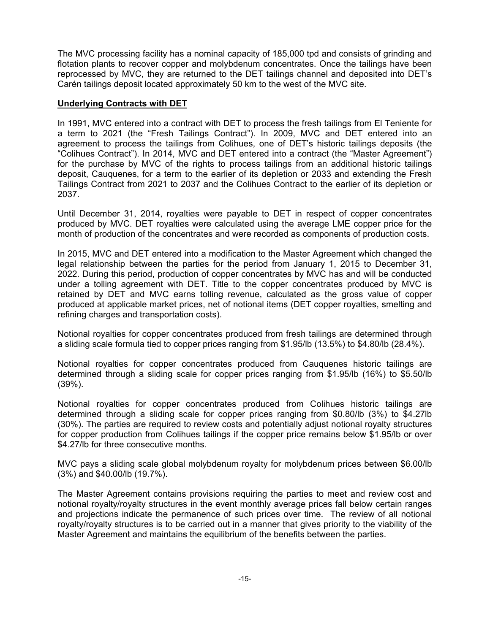The MVC processing facility has a nominal capacity of 185,000 tpd and consists of grinding and flotation plants to recover copper and molybdenum concentrates. Once the tailings have been reprocessed by MVC, they are returned to the DET tailings channel and deposited into DET's Carén tailings deposit located approximately 50 km to the west of the MVC site.

## **Underlying Contracts with DET**

In 1991, MVC entered into a contract with DET to process the fresh tailings from El Teniente for a term to 2021 (the "Fresh Tailings Contract"). In 2009, MVC and DET entered into an agreement to process the tailings from Colihues, one of DET's historic tailings deposits (the "Colihues Contract"). In 2014, MVC and DET entered into a contract (the "Master Agreement") for the purchase by MVC of the rights to process tailings from an additional historic tailings deposit, Cauquenes, for a term to the earlier of its depletion or 2033 and extending the Fresh Tailings Contract from 2021 to 2037 and the Colihues Contract to the earlier of its depletion or 2037.

Until December 31, 2014, royalties were payable to DET in respect of copper concentrates produced by MVC. DET royalties were calculated using the average LME copper price for the month of production of the concentrates and were recorded as components of production costs.

In 2015, MVC and DET entered into a modification to the Master Agreement which changed the legal relationship between the parties for the period from January 1, 2015 to December 31, 2022. During this period, production of copper concentrates by MVC has and will be conducted under a tolling agreement with DET. Title to the copper concentrates produced by MVC is retained by DET and MVC earns tolling revenue, calculated as the gross value of copper produced at applicable market prices, net of notional items (DET copper royalties, smelting and refining charges and transportation costs).

Notional royalties for copper concentrates produced from fresh tailings are determined through a sliding scale formula tied to copper prices ranging from \$1.95/lb (13.5%) to \$4.80/lb (28.4%).

Notional royalties for copper concentrates produced from Cauquenes historic tailings are determined through a sliding scale for copper prices ranging from \$1.95/lb (16%) to \$5.50/lb (39%).

Notional royalties for copper concentrates produced from Colihues historic tailings are determined through a sliding scale for copper prices ranging from \$0.80/lb (3%) to \$4.27lb (30%). The parties are required to review costs and potentially adjust notional royalty structures for copper production from Colihues tailings if the copper price remains below \$1.95/lb or over \$4.27/lb for three consecutive months.

MVC pays a sliding scale global molybdenum royalty for molybdenum prices between \$6.00/lb (3%) and \$40.00/lb (19.7%).

The Master Agreement contains provisions requiring the parties to meet and review cost and notional royalty/royalty structures in the event monthly average prices fall below certain ranges and projections indicate the permanence of such prices over time. The review of all notional royalty/royalty structures is to be carried out in a manner that gives priority to the viability of the Master Agreement and maintains the equilibrium of the benefits between the parties.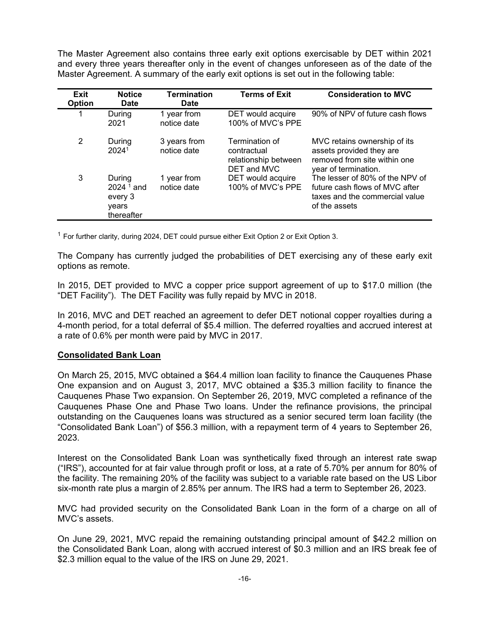The Master Agreement also contains three early exit options exercisable by DET within 2021 and every three years thereafter only in the event of changes unforeseen as of the date of the Master Agreement. A summary of the early exit options is set out in the following table:

| Exit<br>Option | <b>Notice</b><br><b>Date</b>                            | <b>Termination</b><br><b>Date</b> | <b>Terms of Exit</b>                                                 | <b>Consideration to MVC</b>                                                                                          |
|----------------|---------------------------------------------------------|-----------------------------------|----------------------------------------------------------------------|----------------------------------------------------------------------------------------------------------------------|
|                | During<br>2021                                          | 1 year from<br>notice date        | DET would acquire<br>100% of MVC's PPE                               | 90% of NPV of future cash flows                                                                                      |
| 2              | During<br>2024 <sup>1</sup>                             | 3 years from<br>notice date       | Termination of<br>contractual<br>relationship between<br>DET and MVC | MVC retains ownership of its<br>assets provided they are<br>removed from site within one<br>year of termination.     |
| 3              | During<br>$20241$ and<br>every 3<br>years<br>thereafter | 1 year from<br>notice date        | DET would acquire<br>100% of MVC's PPE                               | The lesser of 80% of the NPV of<br>future cash flows of MVC after<br>taxes and the commercial value<br>of the assets |

 $1$  For further clarity, during 2024, DET could pursue either Exit Option 2 or Exit Option 3.

The Company has currently judged the probabilities of DET exercising any of these early exit options as remote.

In 2015, DET provided to MVC a copper price support agreement of up to \$17.0 million (the "DET Facility"). The DET Facility was fully repaid by MVC in 2018.

In 2016, MVC and DET reached an agreement to defer DET notional copper royalties during a 4-month period, for a total deferral of \$5.4 million. The deferred royalties and accrued interest at a rate of 0.6% per month were paid by MVC in 2017.

#### **Consolidated Bank Loan**

On March 25, 2015, MVC obtained a \$64.4 million loan facility to finance the Cauquenes Phase One expansion and on August 3, 2017, MVC obtained a \$35.3 million facility to finance the Cauquenes Phase Two expansion. On September 26, 2019, MVC completed a refinance of the Cauquenes Phase One and Phase Two loans. Under the refinance provisions, the principal outstanding on the Cauquenes loans was structured as a senior secured term loan facility (the "Consolidated Bank Loan") of \$56.3 million, with a repayment term of 4 years to September 26, 2023.

Interest on the Consolidated Bank Loan was synthetically fixed through an interest rate swap ("IRS"), accounted for at fair value through profit or loss, at a rate of 5.70% per annum for 80% of the facility. The remaining 20% of the facility was subject to a variable rate based on the US Libor six-month rate plus a margin of 2.85% per annum. The IRS had a term to September 26, 2023.

MVC had provided security on the Consolidated Bank Loan in the form of a charge on all of MVC's assets.

On June 29, 2021, MVC repaid the remaining outstanding principal amount of \$42.2 million on the Consolidated Bank Loan, along with accrued interest of \$0.3 million and an IRS break fee of \$2.3 million equal to the value of the IRS on June 29, 2021.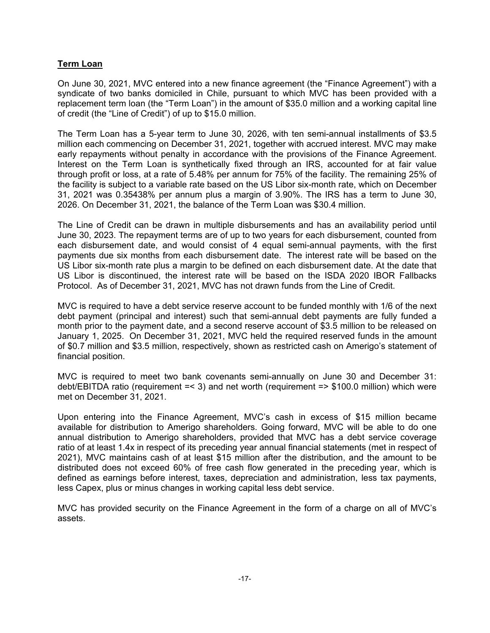## **Term Loan**

On June 30, 2021, MVC entered into a new finance agreement (the "Finance Agreement") with a syndicate of two banks domiciled in Chile, pursuant to which MVC has been provided with a replacement term loan (the "Term Loan") in the amount of \$35.0 million and a working capital line of credit (the "Line of Credit") of up to \$15.0 million.

The Term Loan has a 5-year term to June 30, 2026, with ten semi-annual installments of \$3.5 million each commencing on December 31, 2021, together with accrued interest. MVC may make early repayments without penalty in accordance with the provisions of the Finance Agreement. Interest on the Term Loan is synthetically fixed through an IRS, accounted for at fair value through profit or loss, at a rate of 5.48% per annum for 75% of the facility. The remaining 25% of the facility is subject to a variable rate based on the US Libor six-month rate, which on December 31, 2021 was 0.35438% per annum plus a margin of 3.90%. The IRS has a term to June 30, 2026. On December 31, 2021, the balance of the Term Loan was \$30.4 million.

The Line of Credit can be drawn in multiple disbursements and has an availability period until June 30, 2023. The repayment terms are of up to two years for each disbursement, counted from each disbursement date, and would consist of 4 equal semi-annual payments, with the first payments due six months from each disbursement date. The interest rate will be based on the US Libor six-month rate plus a margin to be defined on each disbursement date. At the date that US Libor is discontinued, the interest rate will be based on the ISDA 2020 IBOR Fallbacks Protocol. As of December 31, 2021, MVC has not drawn funds from the Line of Credit.

MVC is required to have a debt service reserve account to be funded monthly with 1/6 of the next debt payment (principal and interest) such that semi-annual debt payments are fully funded a month prior to the payment date, and a second reserve account of \$3.5 million to be released on January 1, 2025. On December 31, 2021, MVC held the required reserved funds in the amount of \$0.7 million and \$3.5 million, respectively, shown as restricted cash on Amerigo's statement of financial position.

MVC is required to meet two bank covenants semi-annually on June 30 and December 31: debt/EBITDA ratio (requirement =< 3) and net worth (requirement => \$100.0 million) which were met on December 31, 2021.

Upon entering into the Finance Agreement, MVC's cash in excess of \$15 million became available for distribution to Amerigo shareholders. Going forward, MVC will be able to do one annual distribution to Amerigo shareholders, provided that MVC has a debt service coverage ratio of at least 1.4x in respect of its preceding year annual financial statements (met in respect of 2021), MVC maintains cash of at least \$15 million after the distribution, and the amount to be distributed does not exceed 60% of free cash flow generated in the preceding year, which is defined as earnings before interest, taxes, depreciation and administration, less tax payments, less Capex, plus or minus changes in working capital less debt service.

MVC has provided security on the Finance Agreement in the form of a charge on all of MVC's assets.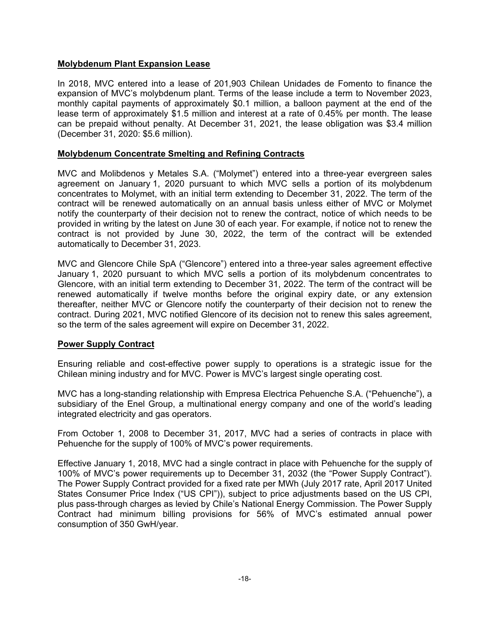## **Molybdenum Plant Expansion Lease**

In 2018, MVC entered into a lease of 201,903 Chilean Unidades de Fomento to finance the expansion of MVC's molybdenum plant. Terms of the lease include a term to November 2023, monthly capital payments of approximately \$0.1 million, a balloon payment at the end of the lease term of approximately \$1.5 million and interest at a rate of 0.45% per month. The lease can be prepaid without penalty. At December 31, 2021, the lease obligation was \$3.4 million (December 31, 2020: \$5.6 million).

## **Molybdenum Concentrate Smelting and Refining Contracts**

MVC and Molibdenos y Metales S.A. ("Molymet") entered into a three-year evergreen sales agreement on January 1, 2020 pursuant to which MVC sells a portion of its molybdenum concentrates to Molymet, with an initial term extending to December 31, 2022. The term of the contract will be renewed automatically on an annual basis unless either of MVC or Molymet notify the counterparty of their decision not to renew the contract, notice of which needs to be provided in writing by the latest on June 30 of each year. For example, if notice not to renew the contract is not provided by June 30, 2022, the term of the contract will be extended automatically to December 31, 2023.

MVC and Glencore Chile SpA ("Glencore") entered into a three-year sales agreement effective January 1, 2020 pursuant to which MVC sells a portion of its molybdenum concentrates to Glencore, with an initial term extending to December 31, 2022. The term of the contract will be renewed automatically if twelve months before the original expiry date, or any extension thereafter, neither MVC or Glencore notify the counterparty of their decision not to renew the contract. During 2021, MVC notified Glencore of its decision not to renew this sales agreement, so the term of the sales agreement will expire on December 31, 2022.

#### **Power Supply Contract**

Ensuring reliable and cost-effective power supply to operations is a strategic issue for the Chilean mining industry and for MVC. Power is MVC's largest single operating cost.

MVC has a long-standing relationship with Empresa Electrica Pehuenche S.A. ("Pehuenche"), a subsidiary of the Enel Group, a multinational energy company and one of the world's leading integrated electricity and gas operators.

From October 1, 2008 to December 31, 2017, MVC had a series of contracts in place with Pehuenche for the supply of 100% of MVC's power requirements.

Effective January 1, 2018, MVC had a single contract in place with Pehuenche for the supply of 100% of MVC's power requirements up to December 31, 2032 (the "Power Supply Contract"). The Power Supply Contract provided for a fixed rate per MWh (July 2017 rate, April 2017 United States Consumer Price Index ("US CPI")), subject to price adjustments based on the US CPI, plus pass-through charges as levied by Chile's National Energy Commission. The Power Supply Contract had minimum billing provisions for 56% of MVC's estimated annual power consumption of 350 GwH/year.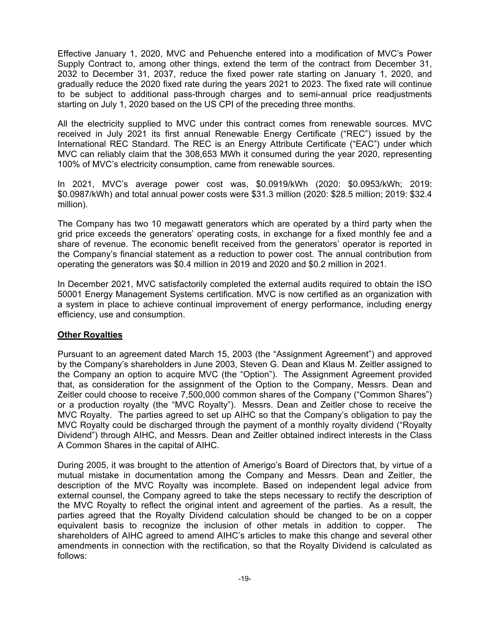Effective January 1, 2020, MVC and Pehuenche entered into a modification of MVC's Power Supply Contract to, among other things, extend the term of the contract from December 31, 2032 to December 31, 2037, reduce the fixed power rate starting on January 1, 2020, and gradually reduce the 2020 fixed rate during the years 2021 to 2023. The fixed rate will continue to be subject to additional pass-through charges and to semi-annual price readjustments starting on July 1, 2020 based on the US CPI of the preceding three months.

All the electricity supplied to MVC under this contract comes from renewable sources. MVC received in July 2021 its first annual Renewable Energy Certificate ("REC") issued by the International REC Standard. The REC is an Energy Attribute Certificate ("EAC") under which MVC can reliably claim that the 308,653 MWh it consumed during the year 2020, representing 100% of MVC's electricity consumption, came from renewable sources.

In 2021, MVC's average power cost was, \$0.0919/kWh (2020: \$0.0953/kWh; 2019: \$0.0987/kWh) and total annual power costs were \$31.3 million (2020: \$28.5 million; 2019: \$32.4 million).

The Company has two 10 megawatt generators which are operated by a third party when the grid price exceeds the generators' operating costs, in exchange for a fixed monthly fee and a share of revenue. The economic benefit received from the generators' operator is reported in the Company's financial statement as a reduction to power cost. The annual contribution from operating the generators was \$0.4 million in 2019 and 2020 and \$0.2 million in 2021.

In December 2021, MVC satisfactorily completed the external audits required to obtain the ISO 50001 Energy Management Systems certification. MVC is now certified as an organization with a system in place to achieve continual improvement of energy performance, including energy efficiency, use and consumption.

## **Other Royalties**

Pursuant to an agreement dated March 15, 2003 (the "Assignment Agreement") and approved by the Company's shareholders in June 2003, Steven G. Dean and Klaus M. Zeitler assigned to the Company an option to acquire MVC (the "Option"). The Assignment Agreement provided that, as consideration for the assignment of the Option to the Company, Messrs. Dean and Zeitler could choose to receive 7,500,000 common shares of the Company ("Common Shares") or a production royalty (the "MVC Royalty"). Messrs. Dean and Zeitler chose to receive the MVC Royalty. The parties agreed to set up AIHC so that the Company's obligation to pay the MVC Royalty could be discharged through the payment of a monthly royalty dividend ("Royalty Dividend") through AIHC, and Messrs. Dean and Zeitler obtained indirect interests in the Class A Common Shares in the capital of AIHC.

During 2005, it was brought to the attention of Amerigo's Board of Directors that, by virtue of a mutual mistake in documentation among the Company and Messrs. Dean and Zeitler, the description of the MVC Royalty was incomplete. Based on independent legal advice from external counsel, the Company agreed to take the steps necessary to rectify the description of the MVC Royalty to reflect the original intent and agreement of the parties. As a result, the parties agreed that the Royalty Dividend calculation should be changed to be on a copper equivalent basis to recognize the inclusion of other metals in addition to copper. The shareholders of AIHC agreed to amend AIHC's articles to make this change and several other amendments in connection with the rectification, so that the Royalty Dividend is calculated as follows: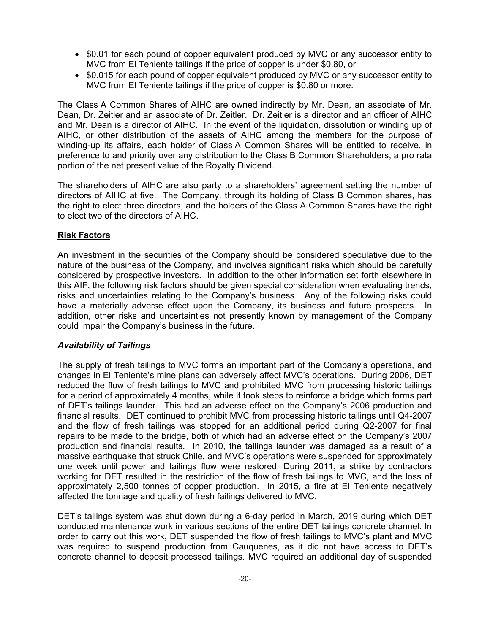- \$0.01 for each pound of copper equivalent produced by MVC or any successor entity to MVC from El Teniente tailings if the price of copper is under \$0.80, or
- \$0.015 for each pound of copper equivalent produced by MVC or any successor entity to MVC from El Teniente tailings if the price of copper is \$0.80 or more.

The Class A Common Shares of AIHC are owned indirectly by Mr. Dean, an associate of Mr. Dean, Dr. Zeitler and an associate of Dr. Zeitler. Dr. Zeitler is a director and an officer of AIHC and Mr. Dean is a director of AIHC. In the event of the liquidation, dissolution or winding up of AIHC, or other distribution of the assets of AIHC among the members for the purpose of winding-up its affairs, each holder of Class A Common Shares will be entitled to receive, in preference to and priority over any distribution to the Class B Common Shareholders, a pro rata portion of the net present value of the Royalty Dividend.

The shareholders of AIHC are also party to a shareholders' agreement setting the number of directors of AIHC at five. The Company, through its holding of Class B Common shares, has the right to elect three directors, and the holders of the Class A Common Shares have the right to elect two of the directors of AIHC.

## **Risk Factors**

An investment in the securities of the Company should be considered speculative due to the nature of the business of the Company, and involves significant risks which should be carefully considered by prospective investors. In addition to the other information set forth elsewhere in this AIF, the following risk factors should be given special consideration when evaluating trends, risks and uncertainties relating to the Company's business. Any of the following risks could have a materially adverse effect upon the Company, its business and future prospects. In addition, other risks and uncertainties not presently known by management of the Company could impair the Company's business in the future.

#### *Availability of Tailings*

The supply of fresh tailings to MVC forms an important part of the Company's operations, and changes in El Teniente's mine plans can adversely affect MVC's operations. During 2006, DET reduced the flow of fresh tailings to MVC and prohibited MVC from processing historic tailings for a period of approximately 4 months, while it took steps to reinforce a bridge which forms part of DET's tailings launder. This had an adverse effect on the Company's 2006 production and financial results. DET continued to prohibit MVC from processing historic tailings until Q4-2007 and the flow of fresh tailings was stopped for an additional period during Q2-2007 for final repairs to be made to the bridge, both of which had an adverse effect on the Company's 2007 production and financial results. In 2010, the tailings launder was damaged as a result of a massive earthquake that struck Chile, and MVC's operations were suspended for approximately one week until power and tailings flow were restored. During 2011, a strike by contractors working for DET resulted in the restriction of the flow of fresh tailings to MVC, and the loss of approximately 2,500 tonnes of copper production. In 2015, a fire at El Teniente negatively affected the tonnage and quality of fresh failings delivered to MVC.

DET's tailings system was shut down during a 6-day period in March, 2019 during which DET conducted maintenance work in various sections of the entire DET tailings concrete channel. In order to carry out this work, DET suspended the flow of fresh tailings to MVC's plant and MVC was required to suspend production from Cauquenes, as it did not have access to DET's concrete channel to deposit processed tailings. MVC required an additional day of suspended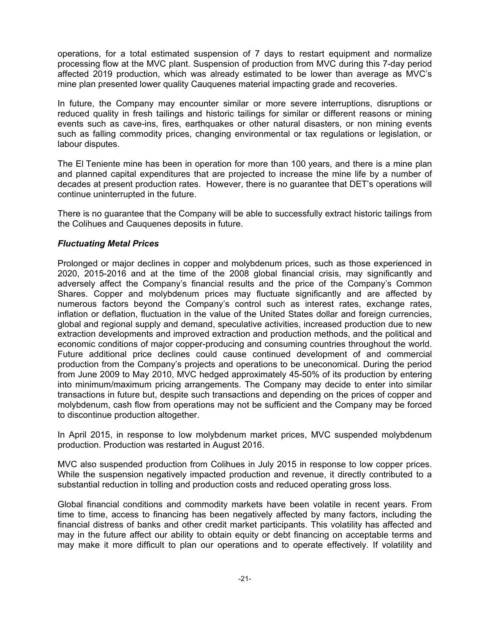operations, for a total estimated suspension of 7 days to restart equipment and normalize processing flow at the MVC plant. Suspension of production from MVC during this 7-day period affected 2019 production, which was already estimated to be lower than average as MVC's mine plan presented lower quality Cauquenes material impacting grade and recoveries.

In future, the Company may encounter similar or more severe interruptions, disruptions or reduced quality in fresh tailings and historic tailings for similar or different reasons or mining events such as cave-ins, fires, earthquakes or other natural disasters, or non mining events such as falling commodity prices, changing environmental or tax regulations or legislation, or labour disputes.

The El Teniente mine has been in operation for more than 100 years, and there is a mine plan and planned capital expenditures that are projected to increase the mine life by a number of decades at present production rates. However, there is no guarantee that DET's operations will continue uninterrupted in the future.

There is no guarantee that the Company will be able to successfully extract historic tailings from the Colihues and Cauquenes deposits in future.

## *Fluctuating Metal Prices*

Prolonged or major declines in copper and molybdenum prices, such as those experienced in 2020, 2015-2016 and at the time of the 2008 global financial crisis, may significantly and adversely affect the Company's financial results and the price of the Company's Common Shares. Copper and molybdenum prices may fluctuate significantly and are affected by numerous factors beyond the Company's control such as interest rates, exchange rates, inflation or deflation, fluctuation in the value of the United States dollar and foreign currencies, global and regional supply and demand, speculative activities, increased production due to new extraction developments and improved extraction and production methods, and the political and economic conditions of major copper-producing and consuming countries throughout the world. Future additional price declines could cause continued development of and commercial production from the Company's projects and operations to be uneconomical. During the period from June 2009 to May 2010, MVC hedged approximately 45-50% of its production by entering into minimum/maximum pricing arrangements. The Company may decide to enter into similar transactions in future but, despite such transactions and depending on the prices of copper and molybdenum, cash flow from operations may not be sufficient and the Company may be forced to discontinue production altogether.

In April 2015, in response to low molybdenum market prices, MVC suspended molybdenum production. Production was restarted in August 2016.

MVC also suspended production from Colihues in July 2015 in response to low copper prices. While the suspension negatively impacted production and revenue, it directly contributed to a substantial reduction in tolling and production costs and reduced operating gross loss.

Global financial conditions and commodity markets have been volatile in recent years. From time to time, access to financing has been negatively affected by many factors, including the financial distress of banks and other credit market participants. This volatility has affected and may in the future affect our ability to obtain equity or debt financing on acceptable terms and may make it more difficult to plan our operations and to operate effectively. If volatility and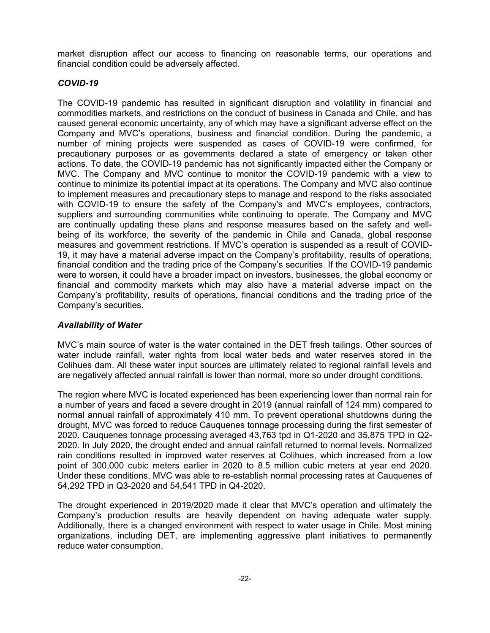market disruption affect our access to financing on reasonable terms, our operations and financial condition could be adversely affected.

## *COVID-19*

The COVID-19 pandemic has resulted in significant disruption and volatility in financial and commodities markets, and restrictions on the conduct of business in Canada and Chile, and has caused general economic uncertainty, any of which may have a significant adverse effect on the Company and MVC's operations, business and financial condition. During the pandemic, a number of mining projects were suspended as cases of COVID-19 were confirmed, for precautionary purposes or as governments declared a state of emergency or taken other actions. To date, the COVID-19 pandemic has not significantly impacted either the Company or MVC. The Company and MVC continue to monitor the COVID-19 pandemic with a view to continue to minimize its potential impact at its operations. The Company and MVC also continue to implement measures and precautionary steps to manage and respond to the risks associated with COVID-19 to ensure the safety of the Company's and MVC's employees, contractors, suppliers and surrounding communities while continuing to operate. The Company and MVC are continually updating these plans and response measures based on the safety and wellbeing of its workforce, the severity of the pandemic in Chile and Canada, global response measures and government restrictions. If MVC's operation is suspended as a result of COVID-19, it may have a material adverse impact on the Company's profitability, results of operations, financial condition and the trading price of the Company's securities. If the COVID-19 pandemic were to worsen, it could have a broader impact on investors, businesses, the global economy or financial and commodity markets which may also have a material adverse impact on the Company's profitability, results of operations, financial conditions and the trading price of the Company's securities.

## *Availability of Water*

MVC's main source of water is the water contained in the DET fresh tailings. Other sources of water include rainfall, water rights from local water beds and water reserves stored in the Colihues dam. All these water input sources are ultimately related to regional rainfall levels and are negatively affected annual rainfall is lower than normal, more so under drought conditions.

The region where MVC is located experienced has been experiencing lower than normal rain for a number of years and faced a severe drought in 2019 (annual rainfall of 124 mm) compared to normal annual rainfall of approximately 410 mm. To prevent operational shutdowns during the drought, MVC was forced to reduce Cauquenes tonnage processing during the first semester of 2020. Cauquenes tonnage processing averaged 43,763 tpd in Q1-2020 and 35,875 TPD in Q2- 2020. In July 2020, the drought ended and annual rainfall returned to normal levels. Normalized rain conditions resulted in improved water reserves at Colihues, which increased from a low point of 300,000 cubic meters earlier in 2020 to 8.5 million cubic meters at year end 2020. Under these conditions, MVC was able to re-establish normal processing rates at Cauquenes of 54,292 TPD in Q3-2020 and 54,541 TPD in Q4-2020.

The drought experienced in 2019/2020 made it clear that MVC's operation and ultimately the Company's production results are heavily dependent on having adequate water supply. Additionally, there is a changed environment with respect to water usage in Chile. Most mining organizations, including DET, are implementing aggressive plant initiatives to permanently reduce water consumption.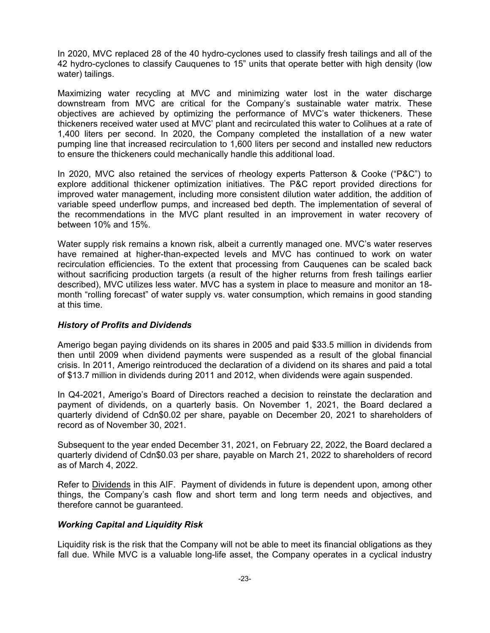In 2020, MVC replaced 28 of the 40 hydro-cyclones used to classify fresh tailings and all of the 42 hydro-cyclones to classify Cauquenes to 15" units that operate better with high density (low water) tailings.

Maximizing water recycling at MVC and minimizing water lost in the water discharge downstream from MVC are critical for the Company's sustainable water matrix. These objectives are achieved by optimizing the performance of MVC's water thickeners. These thickeners received water used at MVC' plant and recirculated this water to Colihues at a rate of 1,400 liters per second. In 2020, the Company completed the installation of a new water pumping line that increased recirculation to 1,600 liters per second and installed new reductors to ensure the thickeners could mechanically handle this additional load.

In 2020, MVC also retained the services of rheology experts Patterson & Cooke ("P&C") to explore additional thickener optimization initiatives. The P&C report provided directions for improved water management, including more consistent dilution water addition, the addition of variable speed underflow pumps, and increased bed depth. The implementation of several of the recommendations in the MVC plant resulted in an improvement in water recovery of between 10% and 15%.

Water supply risk remains a known risk, albeit a currently managed one. MVC's water reserves have remained at higher-than-expected levels and MVC has continued to work on water recirculation efficiencies. To the extent that processing from Cauquenes can be scaled back without sacrificing production targets (a result of the higher returns from fresh tailings earlier described), MVC utilizes less water. MVC has a system in place to measure and monitor an 18 month "rolling forecast" of water supply vs. water consumption, which remains in good standing at this time.

#### *History of Profits and Dividends*

Amerigo began paying dividends on its shares in 2005 and paid \$33.5 million in dividends from then until 2009 when dividend payments were suspended as a result of the global financial crisis. In 2011, Amerigo reintroduced the declaration of a dividend on its shares and paid a total of \$13.7 million in dividends during 2011 and 2012, when dividends were again suspended.

In Q4-2021, Amerigo's Board of Directors reached a decision to reinstate the declaration and payment of dividends, on a quarterly basis. On November 1, 2021, the Board declared a quarterly dividend of Cdn\$0.02 per share, payable on December 20, 2021 to shareholders of record as of November 30, 2021.

Subsequent to the year ended December 31, 2021, on February 22, 2022, the Board declared a quarterly dividend of Cdn\$0.03 per share, payable on March 21, 2022 to shareholders of record as of March 4, 2022.

Refer to Dividends in this AIF. Payment of dividends in future is dependent upon, among other things, the Company's cash flow and short term and long term needs and objectives, and therefore cannot be guaranteed.

#### *Working Capital and Liquidity Risk*

Liquidity risk is the risk that the Company will not be able to meet its financial obligations as they fall due. While MVC is a valuable long-life asset, the Company operates in a cyclical industry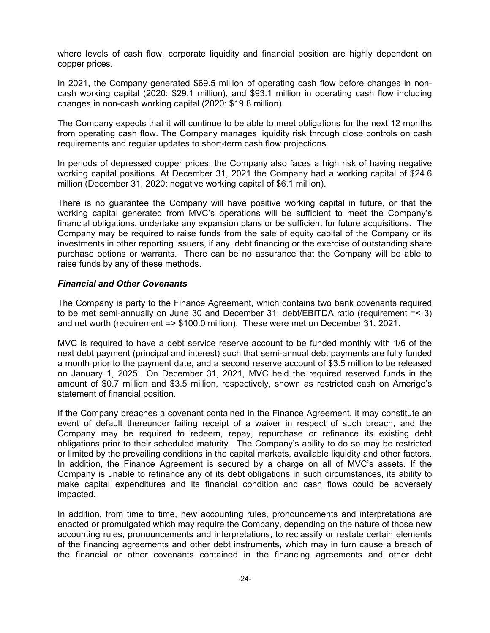where levels of cash flow, corporate liquidity and financial position are highly dependent on copper prices.

In 2021, the Company generated \$69.5 million of operating cash flow before changes in noncash working capital (2020: \$29.1 million), and \$93.1 million in operating cash flow including changes in non-cash working capital (2020: \$19.8 million).

The Company expects that it will continue to be able to meet obligations for the next 12 months from operating cash flow. The Company manages liquidity risk through close controls on cash requirements and regular updates to short-term cash flow projections.

In periods of depressed copper prices, the Company also faces a high risk of having negative working capital positions. At December 31, 2021 the Company had a working capital of \$24.6 million (December 31, 2020: negative working capital of \$6.1 million).

There is no guarantee the Company will have positive working capital in future, or that the working capital generated from MVC's operations will be sufficient to meet the Company's financial obligations, undertake any expansion plans or be sufficient for future acquisitions. The Company may be required to raise funds from the sale of equity capital of the Company or its investments in other reporting issuers, if any, debt financing or the exercise of outstanding share purchase options or warrants. There can be no assurance that the Company will be able to raise funds by any of these methods.

#### *Financial and Other Covenants*

The Company is party to the Finance Agreement, which contains two bank covenants required to be met semi-annually on June 30 and December 31: debt/EBITDA ratio (requirement =< 3) and net worth (requirement => \$100.0 million). These were met on December 31, 2021.

MVC is required to have a debt service reserve account to be funded monthly with 1/6 of the next debt payment (principal and interest) such that semi-annual debt payments are fully funded a month prior to the payment date, and a second reserve account of \$3.5 million to be released on January 1, 2025. On December 31, 2021, MVC held the required reserved funds in the amount of \$0.7 million and \$3.5 million, respectively, shown as restricted cash on Amerigo's statement of financial position.

If the Company breaches a covenant contained in the Finance Agreement, it may constitute an event of default thereunder failing receipt of a waiver in respect of such breach, and the Company may be required to redeem, repay, repurchase or refinance its existing debt obligations prior to their scheduled maturity. The Company's ability to do so may be restricted or limited by the prevailing conditions in the capital markets, available liquidity and other factors. In addition, the Finance Agreement is secured by a charge on all of MVC's assets. If the Company is unable to refinance any of its debt obligations in such circumstances, its ability to make capital expenditures and its financial condition and cash flows could be adversely impacted.

In addition, from time to time, new accounting rules, pronouncements and interpretations are enacted or promulgated which may require the Company, depending on the nature of those new accounting rules, pronouncements and interpretations, to reclassify or restate certain elements of the financing agreements and other debt instruments, which may in turn cause a breach of the financial or other covenants contained in the financing agreements and other debt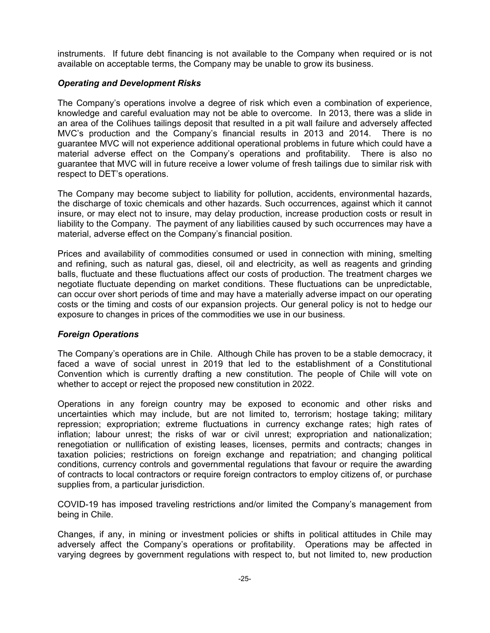instruments. If future debt financing is not available to the Company when required or is not available on acceptable terms, the Company may be unable to grow its business.

## *Operating and Development Risks*

The Company's operations involve a degree of risk which even a combination of experience, knowledge and careful evaluation may not be able to overcome. In 2013, there was a slide in an area of the Colihues tailings deposit that resulted in a pit wall failure and adversely affected MVC's production and the Company's financial results in 2013 and 2014. There is no guarantee MVC will not experience additional operational problems in future which could have a material adverse effect on the Company's operations and profitability. There is also no guarantee that MVC will in future receive a lower volume of fresh tailings due to similar risk with respect to DET's operations.

The Company may become subject to liability for pollution, accidents, environmental hazards, the discharge of toxic chemicals and other hazards. Such occurrences, against which it cannot insure, or may elect not to insure, may delay production, increase production costs or result in liability to the Company. The payment of any liabilities caused by such occurrences may have a material, adverse effect on the Company's financial position.

Prices and availability of commodities consumed or used in connection with mining, smelting and refining, such as natural gas, diesel, oil and electricity, as well as reagents and grinding balls, fluctuate and these fluctuations affect our costs of production. The treatment charges we negotiate fluctuate depending on market conditions. These fluctuations can be unpredictable, can occur over short periods of time and may have a materially adverse impact on our operating costs or the timing and costs of our expansion projects. Our general policy is not to hedge our exposure to changes in prices of the commodities we use in our business.

## *Foreign Operations*

The Company's operations are in Chile. Although Chile has proven to be a stable democracy, it faced a wave of social unrest in 2019 that led to the establishment of a Constitutional Convention which is currently drafting a new constitution. The people of Chile will vote on whether to accept or reject the proposed new constitution in 2022.

Operations in any foreign country may be exposed to economic and other risks and uncertainties which may include, but are not limited to, terrorism; hostage taking; military repression; expropriation; extreme fluctuations in currency exchange rates; high rates of inflation; labour unrest; the risks of war or civil unrest; expropriation and nationalization; renegotiation or nullification of existing leases, licenses, permits and contracts; changes in taxation policies; restrictions on foreign exchange and repatriation; and changing political conditions, currency controls and governmental regulations that favour or require the awarding of contracts to local contractors or require foreign contractors to employ citizens of, or purchase supplies from, a particular jurisdiction.

COVID-19 has imposed traveling restrictions and/or limited the Company's management from being in Chile.

Changes, if any, in mining or investment policies or shifts in political attitudes in Chile may adversely affect the Company's operations or profitability. Operations may be affected in varying degrees by government regulations with respect to, but not limited to, new production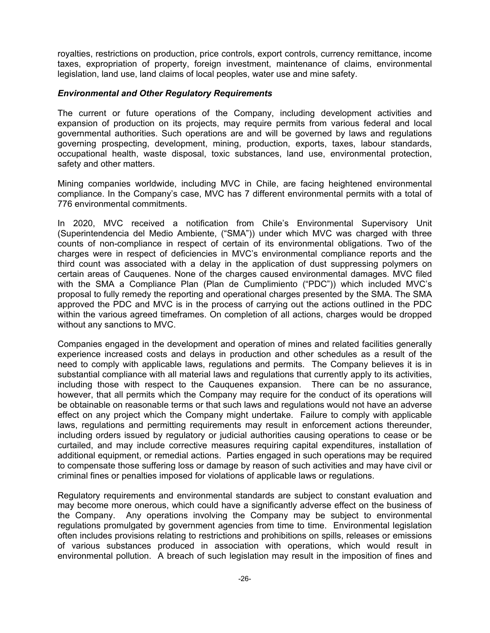royalties, restrictions on production, price controls, export controls, currency remittance, income taxes, expropriation of property, foreign investment, maintenance of claims, environmental legislation, land use, land claims of local peoples, water use and mine safety.

#### *Environmental and Other Regulatory Requirements*

The current or future operations of the Company, including development activities and expansion of production on its projects, may require permits from various federal and local governmental authorities. Such operations are and will be governed by laws and regulations governing prospecting, development, mining, production, exports, taxes, labour standards, occupational health, waste disposal, toxic substances, land use, environmental protection, safety and other matters.

Mining companies worldwide, including MVC in Chile, are facing heightened environmental compliance. In the Company's case, MVC has 7 different environmental permits with a total of 776 environmental commitments.

In 2020, MVC received a notification from Chile's Environmental Supervisory Unit (Superintendencia del Medio Ambiente, ("SMA")) under which MVC was charged with three counts of non-compliance in respect of certain of its environmental obligations. Two of the charges were in respect of deficiencies in MVC's environmental compliance reports and the third count was associated with a delay in the application of dust suppressing polymers on certain areas of Cauquenes. None of the charges caused environmental damages. MVC filed with the SMA a Compliance Plan (Plan de Cumplimiento ("PDC")) which included MVC's proposal to fully remedy the reporting and operational charges presented by the SMA. The SMA approved the PDC and MVC is in the process of carrying out the actions outlined in the PDC within the various agreed timeframes. On completion of all actions, charges would be dropped without any sanctions to MVC.

Companies engaged in the development and operation of mines and related facilities generally experience increased costs and delays in production and other schedules as a result of the need to comply with applicable laws, regulations and permits. The Company believes it is in substantial compliance with all material laws and regulations that currently apply to its activities, including those with respect to the Cauquenes expansion. There can be no assurance, however, that all permits which the Company may require for the conduct of its operations will be obtainable on reasonable terms or that such laws and regulations would not have an adverse effect on any project which the Company might undertake. Failure to comply with applicable laws, regulations and permitting requirements may result in enforcement actions thereunder, including orders issued by regulatory or judicial authorities causing operations to cease or be curtailed, and may include corrective measures requiring capital expenditures, installation of additional equipment, or remedial actions. Parties engaged in such operations may be required to compensate those suffering loss or damage by reason of such activities and may have civil or criminal fines or penalties imposed for violations of applicable laws or regulations.

Regulatory requirements and environmental standards are subject to constant evaluation and may become more onerous, which could have a significantly adverse effect on the business of the Company. Any operations involving the Company may be subject to environmental regulations promulgated by government agencies from time to time. Environmental legislation often includes provisions relating to restrictions and prohibitions on spills, releases or emissions of various substances produced in association with operations, which would result in environmental pollution. A breach of such legislation may result in the imposition of fines and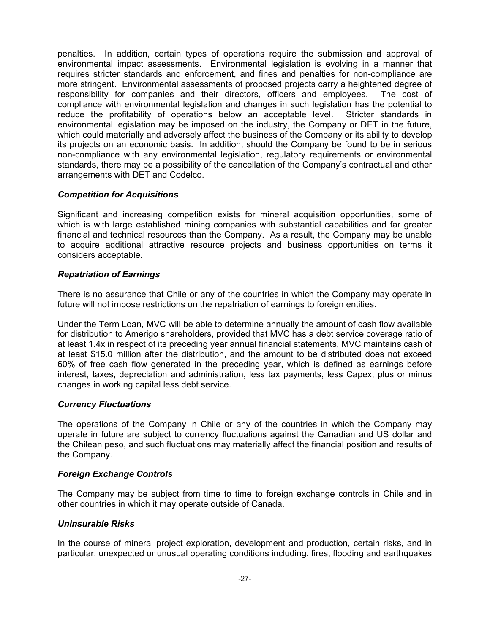penalties. In addition, certain types of operations require the submission and approval of environmental impact assessments. Environmental legislation is evolving in a manner that requires stricter standards and enforcement, and fines and penalties for non-compliance are more stringent. Environmental assessments of proposed projects carry a heightened degree of responsibility for companies and their directors, officers and employees. The cost of compliance with environmental legislation and changes in such legislation has the potential to reduce the profitability of operations below an acceptable level. Stricter standards in environmental legislation may be imposed on the industry, the Company or DET in the future, which could materially and adversely affect the business of the Company or its ability to develop its projects on an economic basis. In addition, should the Company be found to be in serious non-compliance with any environmental legislation, regulatory requirements or environmental standards, there may be a possibility of the cancellation of the Company's contractual and other arrangements with DET and Codelco.

## *Competition for Acquisitions*

Significant and increasing competition exists for mineral acquisition opportunities, some of which is with large established mining companies with substantial capabilities and far greater financial and technical resources than the Company. As a result, the Company may be unable to acquire additional attractive resource projects and business opportunities on terms it considers acceptable.

## *Repatriation of Earnings*

There is no assurance that Chile or any of the countries in which the Company may operate in future will not impose restrictions on the repatriation of earnings to foreign entities.

Under the Term Loan, MVC will be able to determine annually the amount of cash flow available for distribution to Amerigo shareholders, provided that MVC has a debt service coverage ratio of at least 1.4x in respect of its preceding year annual financial statements, MVC maintains cash of at least \$15.0 million after the distribution, and the amount to be distributed does not exceed 60% of free cash flow generated in the preceding year, which is defined as earnings before interest, taxes, depreciation and administration, less tax payments, less Capex, plus or minus changes in working capital less debt service.

#### *Currency Fluctuations*

The operations of the Company in Chile or any of the countries in which the Company may operate in future are subject to currency fluctuations against the Canadian and US dollar and the Chilean peso, and such fluctuations may materially affect the financial position and results of the Company.

#### *Foreign Exchange Controls*

The Company may be subject from time to time to foreign exchange controls in Chile and in other countries in which it may operate outside of Canada.

#### *Uninsurable Risks*

In the course of mineral project exploration, development and production, certain risks, and in particular, unexpected or unusual operating conditions including, fires, flooding and earthquakes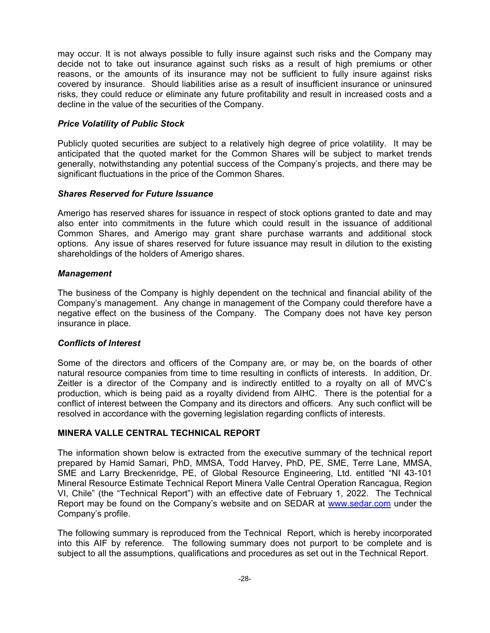may occur. It is not always possible to fully insure against such risks and the Company may decide not to take out insurance against such risks as a result of high premiums or other reasons, or the amounts of its insurance may not be sufficient to fully insure against risks covered by insurance. Should liabilities arise as a result of insufficient insurance or uninsured risks, they could reduce or eliminate any future profitability and result in increased costs and a decline in the value of the securities of the Company.

## *Price Volatility of Public Stock*

Publicly quoted securities are subject to a relatively high degree of price volatility. It may be anticipated that the quoted market for the Common Shares will be subject to market trends generally, notwithstanding any potential success of the Company's projects, and there may be significant fluctuations in the price of the Common Shares.

## *Shares Reserved for Future Issuance*

Amerigo has reserved shares for issuance in respect of stock options granted to date and may also enter into commitments in the future which could result in the issuance of additional Common Shares, and Amerigo may grant share purchase warrants and additional stock options. Any issue of shares reserved for future issuance may result in dilution to the existing shareholdings of the holders of Amerigo shares.

## *Management*

The business of the Company is highly dependent on the technical and financial ability of the Company's management. Any change in management of the Company could therefore have a negative effect on the business of the Company. The Company does not have key person insurance in place.

#### *Conflicts of Interest*

Some of the directors and officers of the Company are, or may be, on the boards of other natural resource companies from time to time resulting in conflicts of interests. In addition, Dr. Zeitler is a director of the Company and is indirectly entitled to a royalty on all of MVC's production, which is being paid as a royalty dividend from AIHC. There is the potential for a conflict of interest between the Company and its directors and officers. Any such conflict will be resolved in accordance with the governing legislation regarding conflicts of interests.

## **MINERA VALLE CENTRAL TECHNICAL REPORT**

The information shown below is extracted from the executive summary of the technical report prepared by Hamid Samari, PhD, MMSA, Todd Harvey, PhD, PE, SME, Terre Lane, MMSA, SME and Larry Breckenridge, PE, of Global Resource Engineering, Ltd. entitled "NI 43-101 Mineral Resource Estimate Technical Report Minera Valle Central Operation Rancagua, Region VI, Chile" (the "Technical Report") with an effective date of February 1, 2022. The Technical Report may be found on the Company's website and on SEDAR at www.sedar.com under the Company's profile.

The following summary is reproduced from the Technical Report, which is hereby incorporated into this AIF by reference. The following summary does not purport to be complete and is subject to all the assumptions, qualifications and procedures as set out in the Technical Report.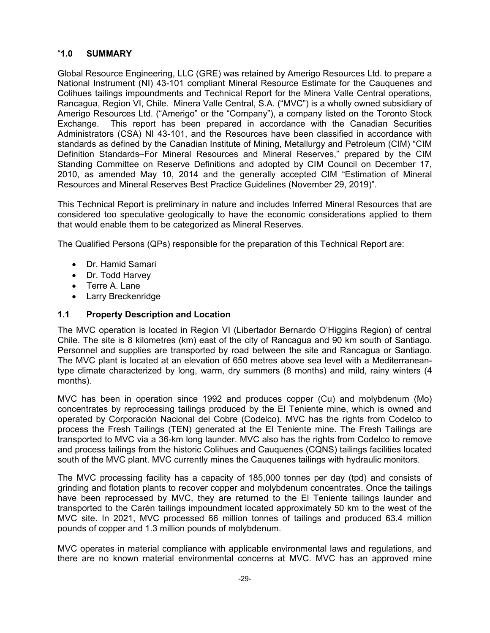## "**1.0 SUMMARY**

Global Resource Engineering, LLC (GRE) was retained by Amerigo Resources Ltd. to prepare a National Instrument (NI) 43-101 compliant Mineral Resource Estimate for the Cauquenes and Colihues tailings impoundments and Technical Report for the Minera Valle Central operations, Rancagua, Region VI, Chile. Minera Valle Central, S.A. ("MVC") is a wholly owned subsidiary of Amerigo Resources Ltd. ("Amerigo" or the "Company"), a company listed on the Toronto Stock Exchange. This report has been prepared in accordance with the Canadian Securities Administrators (CSA) NI 43-101, and the Resources have been classified in accordance with standards as defined by the Canadian Institute of Mining, Metallurgy and Petroleum (CIM) "CIM Definition Standards–For Mineral Resources and Mineral Reserves," prepared by the CIM Standing Committee on Reserve Definitions and adopted by CIM Council on December 17, 2010, as amended May 10, 2014 and the generally accepted CIM "Estimation of Mineral Resources and Mineral Reserves Best Practice Guidelines (November 29, 2019)".

This Technical Report is preliminary in nature and includes Inferred Mineral Resources that are considered too speculative geologically to have the economic considerations applied to them that would enable them to be categorized as Mineral Reserves.

The Qualified Persons (QPs) responsible for the preparation of this Technical Report are:

- Dr. Hamid Samari
- Dr. Todd Harvey
- Terre A. Lane
- Larry Breckenridge

## **1.1 Property Description and Location**

The MVC operation is located in Region VI (Libertador Bernardo O'Higgins Region) of central Chile. The site is 8 kilometres (km) east of the city of Rancagua and 90 km south of Santiago. Personnel and supplies are transported by road between the site and Rancagua or Santiago. The MVC plant is located at an elevation of 650 metres above sea level with a Mediterraneantype climate characterized by long, warm, dry summers (8 months) and mild, rainy winters (4 months).

MVC has been in operation since 1992 and produces copper (Cu) and molybdenum (Mo) concentrates by reprocessing tailings produced by the El Teniente mine, which is owned and operated by Corporación Nacional del Cobre (Codelco). MVC has the rights from Codelco to process the Fresh Tailings (TEN) generated at the El Teniente mine. The Fresh Tailings are transported to MVC via a 36-km long launder. MVC also has the rights from Codelco to remove and process tailings from the historic Colihues and Cauquenes (CQNS) tailings facilities located south of the MVC plant. MVC currently mines the Cauquenes tailings with hydraulic monitors.

The MVC processing facility has a capacity of 185,000 tonnes per day (tpd) and consists of grinding and flotation plants to recover copper and molybdenum concentrates. Once the tailings have been reprocessed by MVC, they are returned to the El Teniente tailings launder and transported to the Carén tailings impoundment located approximately 50 km to the west of the MVC site. In 2021, MVC processed 66 million tonnes of tailings and produced 63.4 million pounds of copper and 1.3 million pounds of molybdenum.

MVC operates in material compliance with applicable environmental laws and regulations, and there are no known material environmental concerns at MVC. MVC has an approved mine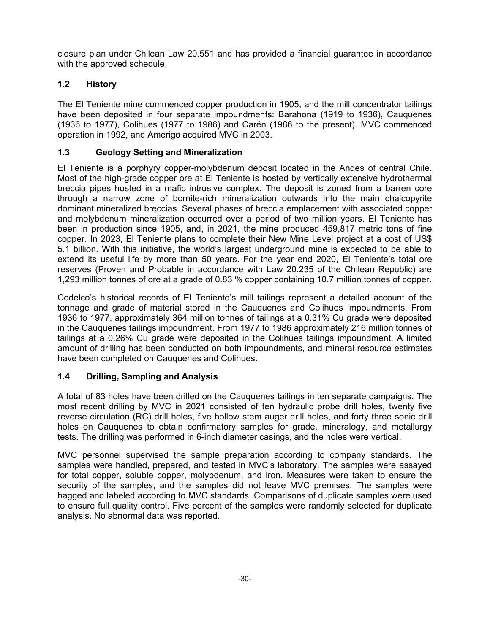closure plan under Chilean Law 20.551 and has provided a financial guarantee in accordance with the approved schedule.

## **1.2 History**

The El Teniente mine commenced copper production in 1905, and the mill concentrator tailings have been deposited in four separate impoundments: Barahona (1919 to 1936), Cauquenes (1936 to 1977), Colihues (1977 to 1986) and Carén (1986 to the present). MVC commenced operation in 1992, and Amerigo acquired MVC in 2003.

## **1.3 Geology Setting and Mineralization**

El Teniente is a porphyry copper-molybdenum deposit located in the Andes of central Chile. Most of the high-grade copper ore at El Teniente is hosted by vertically extensive hydrothermal breccia pipes hosted in a mafic intrusive complex. The deposit is zoned from a barren core through a narrow zone of bornite-rich mineralization outwards into the main chalcopyrite dominant mineralized breccias. Several phases of breccia emplacement with associated copper and molybdenum mineralization occurred over a period of two million years. El Teniente has been in production since 1905, and, in 2021, the mine produced 459,817 metric tons of fine copper. In 2023, El Teniente plans to complete their New Mine Level project at a cost of US\$ 5.1 billion. With this initiative, the world's largest underground mine is expected to be able to extend its useful life by more than 50 years. For the year end 2020, El Teniente's total ore reserves (Proven and Probable in accordance with Law 20.235 of the Chilean Republic) are 1,293 million tonnes of ore at a grade of 0.83 % copper containing 10.7 million tonnes of copper.

Codelco's historical records of El Teniente's mill tailings represent a detailed account of the tonnage and grade of material stored in the Cauquenes and Colihues impoundments. From 1936 to 1977, approximately 364 million tonnes of tailings at a 0.31% Cu grade were deposited in the Cauquenes tailings impoundment. From 1977 to 1986 approximately 216 million tonnes of tailings at a 0.26% Cu grade were deposited in the Colihues tailings impoundment. A limited amount of drilling has been conducted on both impoundments, and mineral resource estimates have been completed on Cauquenes and Colihues.

## **1.4 Drilling, Sampling and Analysis**

A total of 83 holes have been drilled on the Cauquenes tailings in ten separate campaigns. The most recent drilling by MVC in 2021 consisted of ten hydraulic probe drill holes, twenty five reverse circulation (RC) drill holes, five hollow stem auger drill holes, and forty three sonic drill holes on Cauquenes to obtain confirmatory samples for grade, mineralogy, and metallurgy tests. The drilling was performed in 6-inch diameter casings, and the holes were vertical.

MVC personnel supervised the sample preparation according to company standards. The samples were handled, prepared, and tested in MVC's laboratory. The samples were assayed for total copper, soluble copper, molybdenum, and iron. Measures were taken to ensure the security of the samples, and the samples did not leave MVC premises. The samples were bagged and labeled according to MVC standards. Comparisons of duplicate samples were used to ensure full quality control. Five percent of the samples were randomly selected for duplicate analysis. No abnormal data was reported.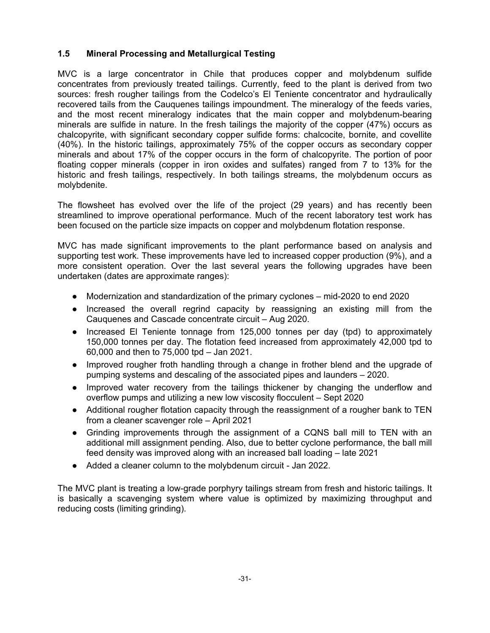## **1.5 Mineral Processing and Metallurgical Testing**

MVC is a large concentrator in Chile that produces copper and molybdenum sulfide concentrates from previously treated tailings. Currently, feed to the plant is derived from two sources: fresh rougher tailings from the Codelco's El Teniente concentrator and hydraulically recovered tails from the Cauquenes tailings impoundment. The mineralogy of the feeds varies, and the most recent mineralogy indicates that the main copper and molybdenum-bearing minerals are sulfide in nature. In the fresh tailings the majority of the copper (47%) occurs as chalcopyrite, with significant secondary copper sulfide forms: chalcocite, bornite, and covellite (40%). In the historic tailings, approximately 75% of the copper occurs as secondary copper minerals and about 17% of the copper occurs in the form of chalcopyrite. The portion of poor floating copper minerals (copper in iron oxides and sulfates) ranged from 7 to 13% for the historic and fresh tailings, respectively. In both tailings streams, the molybdenum occurs as molybdenite.

The flowsheet has evolved over the life of the project (29 years) and has recently been streamlined to improve operational performance. Much of the recent laboratory test work has been focused on the particle size impacts on copper and molybdenum flotation response.

MVC has made significant improvements to the plant performance based on analysis and supporting test work. These improvements have led to increased copper production (9%), and a more consistent operation. Over the last several years the following upgrades have been undertaken (dates are approximate ranges):

- Modernization and standardization of the primary cyclones mid-2020 to end 2020
- Increased the overall regrind capacity by reassigning an existing mill from the Cauquenes and Cascade concentrate circuit – Aug 2020.
- Increased El Teniente tonnage from 125,000 tonnes per day (tpd) to approximately 150,000 tonnes per day. The flotation feed increased from approximately 42,000 tpd to 60,000 and then to 75,000 tpd – Jan 2021.
- Improved rougher froth handling through a change in frother blend and the upgrade of pumping systems and descaling of the associated pipes and launders – 2020.
- Improved water recovery from the tailings thickener by changing the underflow and overflow pumps and utilizing a new low viscosity flocculent – Sept 2020
- Additional rougher flotation capacity through the reassignment of a rougher bank to TEN from a cleaner scavenger role – April 2021
- Grinding improvements through the assignment of a CQNS ball mill to TEN with an additional mill assignment pending. Also, due to better cyclone performance, the ball mill feed density was improved along with an increased ball loading – late 2021
- Added a cleaner column to the molybdenum circuit Jan 2022.

The MVC plant is treating a low-grade porphyry tailings stream from fresh and historic tailings. It is basically a scavenging system where value is optimized by maximizing throughput and reducing costs (limiting grinding).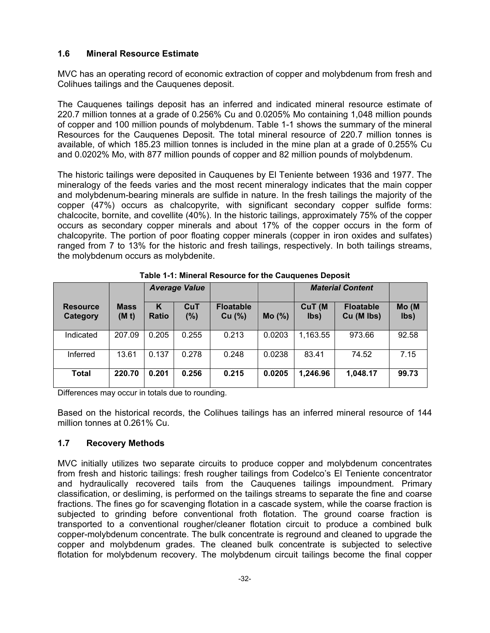## **1.6 Mineral Resource Estimate**

MVC has an operating record of economic extraction of copper and molybdenum from fresh and Colihues tailings and the Cauquenes deposit.

The Cauquenes tailings deposit has an inferred and indicated mineral resource estimate of 220.7 million tonnes at a grade of 0.256% Cu and 0.0205% Mo containing 1,048 million pounds of copper and 100 million pounds of molybdenum. Table 1-1 shows the summary of the mineral Resources for the Cauquenes Deposit. The total mineral resource of 220.7 million tonnes is available, of which 185.23 million tonnes is included in the mine plan at a grade of 0.255% Cu and 0.0202% Mo, with 877 million pounds of copper and 82 million pounds of molybdenum.

The historic tailings were deposited in Cauquenes by El Teniente between 1936 and 1977. The mineralogy of the feeds varies and the most recent mineralogy indicates that the main copper and molybdenum-bearing minerals are sulfide in nature. In the fresh tailings the majority of the copper (47%) occurs as chalcopyrite, with significant secondary copper sulfide forms: chalcocite, bornite, and covellite (40%). In the historic tailings, approximately 75% of the copper occurs as secondary copper minerals and about 17% of the copper occurs in the form of chalcopyrite. The portion of poor floating copper minerals (copper in iron oxides and sulfates) ranged from 7 to 13% for the historic and fresh tailings, respectively. In both tailings streams, the molybdenum occurs as molybdenite.

|                             |                      |                   | <b>Average Value</b> |                            |        |                | <b>Material Content</b>        |               |
|-----------------------------|----------------------|-------------------|----------------------|----------------------------|--------|----------------|--------------------------------|---------------|
| <b>Resource</b><br>Category | <b>Mass</b><br>(M t) | K<br><b>Ratio</b> | CuT<br>(%)           | <b>Floatable</b><br>Cu (%) | Mo(%)  | CuT (M<br>lbs) | <b>Floatable</b><br>Cu (M lbs) | Mo (M<br>lbs) |
| Indicated                   | 207.09               | 0.205             | 0.255                | 0.213                      | 0.0203 | 1,163.55       | 973.66                         | 92.58         |
| Inferred                    | 13.61                | 0.137             | 0.278                | 0.248                      | 0.0238 | 83.41          | 74.52                          | 7.15          |
| Total                       | 220.70               | 0.201             | 0.256                | 0.215                      | 0.0205 | 1,246.96       | 1,048.17                       | 99.73         |

**Table 1-1: Mineral Resource for the Cauquenes Deposit** 

Differences may occur in totals due to rounding.

Based on the historical records, the Colihues tailings has an inferred mineral resource of 144 million tonnes at 0.261% Cu.

## **1.7 Recovery Methods**

MVC initially utilizes two separate circuits to produce copper and molybdenum concentrates from fresh and historic tailings: fresh rougher tailings from Codelco's El Teniente concentrator and hydraulically recovered tails from the Cauquenes tailings impoundment. Primary classification, or desliming, is performed on the tailings streams to separate the fine and coarse fractions. The fines go for scavenging flotation in a cascade system, while the coarse fraction is subjected to grinding before conventional froth flotation. The ground coarse fraction is transported to a conventional rougher/cleaner flotation circuit to produce a combined bulk copper-molybdenum concentrate. The bulk concentrate is reground and cleaned to upgrade the copper and molybdenum grades. The cleaned bulk concentrate is subjected to selective flotation for molybdenum recovery. The molybdenum circuit tailings become the final copper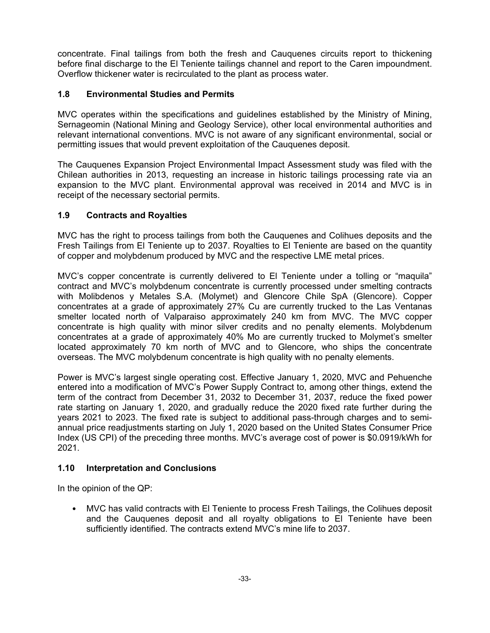concentrate. Final tailings from both the fresh and Cauquenes circuits report to thickening before final discharge to the El Teniente tailings channel and report to the Caren impoundment. Overflow thickener water is recirculated to the plant as process water.

## **1.8 Environmental Studies and Permits**

MVC operates within the specifications and guidelines established by the Ministry of Mining, Sernageomin (National Mining and Geology Service), other local environmental authorities and relevant international conventions. MVC is not aware of any significant environmental, social or permitting issues that would prevent exploitation of the Cauquenes deposit.

The Cauquenes Expansion Project Environmental Impact Assessment study was filed with the Chilean authorities in 2013, requesting an increase in historic tailings processing rate via an expansion to the MVC plant. Environmental approval was received in 2014 and MVC is in receipt of the necessary sectorial permits.

## **1.9 Contracts and Royalties**

MVC has the right to process tailings from both the Cauquenes and Colihues deposits and the Fresh Tailings from El Teniente up to 2037. Royalties to El Teniente are based on the quantity of copper and molybdenum produced by MVC and the respective LME metal prices.

MVC's copper concentrate is currently delivered to El Teniente under a tolling or "maquila" contract and MVC's molybdenum concentrate is currently processed under smelting contracts with Molibdenos y Metales S.A. (Molymet) and Glencore Chile SpA (Glencore). Copper concentrates at a grade of approximately 27% Cu are currently trucked to the Las Ventanas smelter located north of Valparaiso approximately 240 km from MVC. The MVC copper concentrate is high quality with minor silver credits and no penalty elements. Molybdenum concentrates at a grade of approximately 40% Mo are currently trucked to Molymet's smelter located approximately 70 km north of MVC and to Glencore, who ships the concentrate overseas. The MVC molybdenum concentrate is high quality with no penalty elements.

Power is MVC's largest single operating cost. Effective January 1, 2020, MVC and Pehuenche entered into a modification of MVC's Power Supply Contract to, among other things, extend the term of the contract from December 31, 2032 to December 31, 2037, reduce the fixed power rate starting on January 1, 2020, and gradually reduce the 2020 fixed rate further during the years 2021 to 2023. The fixed rate is subject to additional pass-through charges and to semiannual price readjustments starting on July 1, 2020 based on the United States Consumer Price Index (US CPI) of the preceding three months. MVC's average cost of power is \$0.0919/kWh for 2021.

## **1.10 Interpretation and Conclusions**

In the opinion of the QP:

• MVC has valid contracts with El Teniente to process Fresh Tailings, the Colihues deposit and the Cauquenes deposit and all royalty obligations to El Teniente have been sufficiently identified. The contracts extend MVC's mine life to 2037.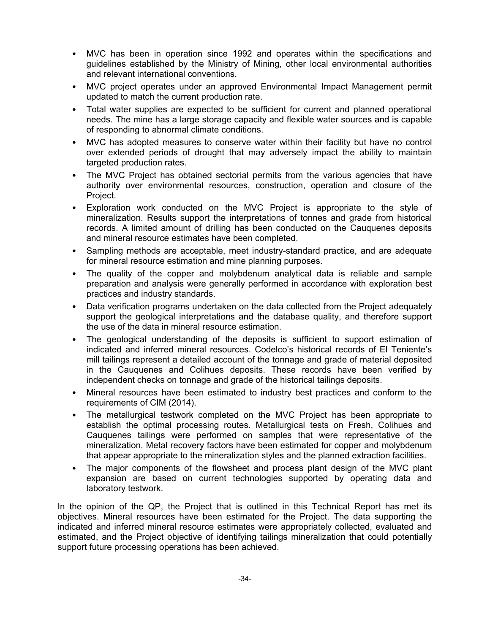- MVC has been in operation since 1992 and operates within the specifications and guidelines established by the Ministry of Mining, other local environmental authorities and relevant international conventions.
- MVC project operates under an approved Environmental Impact Management permit updated to match the current production rate.
- Total water supplies are expected to be sufficient for current and planned operational needs. The mine has a large storage capacity and flexible water sources and is capable of responding to abnormal climate conditions.
- MVC has adopted measures to conserve water within their facility but have no control over extended periods of drought that may adversely impact the ability to maintain targeted production rates.
- The MVC Project has obtained sectorial permits from the various agencies that have authority over environmental resources, construction, operation and closure of the Project.
- Exploration work conducted on the MVC Project is appropriate to the style of mineralization. Results support the interpretations of tonnes and grade from historical records. A limited amount of drilling has been conducted on the Cauquenes deposits and mineral resource estimates have been completed.
- Sampling methods are acceptable, meet industry-standard practice, and are adequate for mineral resource estimation and mine planning purposes.
- The quality of the copper and molybdenum analytical data is reliable and sample preparation and analysis were generally performed in accordance with exploration best practices and industry standards.
- Data verification programs undertaken on the data collected from the Project adequately support the geological interpretations and the database quality, and therefore support the use of the data in mineral resource estimation.
- The geological understanding of the deposits is sufficient to support estimation of indicated and inferred mineral resources. Codelco's historical records of El Teniente's mill tailings represent a detailed account of the tonnage and grade of material deposited in the Cauquenes and Colihues deposits. These records have been verified by independent checks on tonnage and grade of the historical tailings deposits.
- Mineral resources have been estimated to industry best practices and conform to the requirements of CIM (2014).
- The metallurgical testwork completed on the MVC Project has been appropriate to establish the optimal processing routes. Metallurgical tests on Fresh, Colihues and Cauquenes tailings were performed on samples that were representative of the mineralization. Metal recovery factors have been estimated for copper and molybdenum that appear appropriate to the mineralization styles and the planned extraction facilities.
- The major components of the flowsheet and process plant design of the MVC plant expansion are based on current technologies supported by operating data and laboratory testwork.

In the opinion of the QP, the Project that is outlined in this Technical Report has met its objectives. Mineral resources have been estimated for the Project. The data supporting the indicated and inferred mineral resource estimates were appropriately collected, evaluated and estimated, and the Project objective of identifying tailings mineralization that could potentially support future processing operations has been achieved.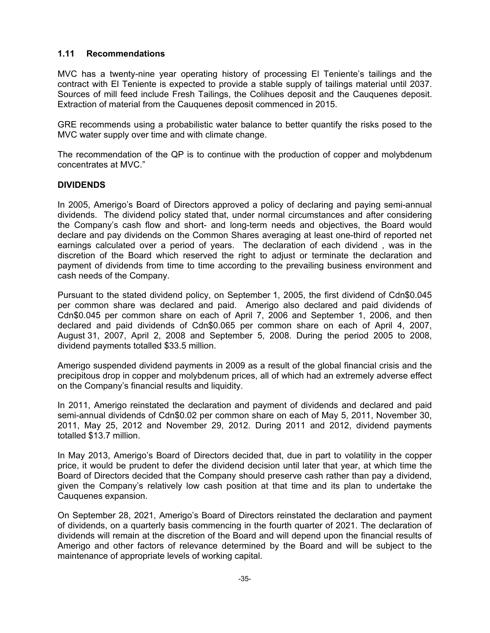## **1.11 Recommendations**

MVC has a twenty-nine year operating history of processing El Teniente's tailings and the contract with El Teniente is expected to provide a stable supply of tailings material until 2037. Sources of mill feed include Fresh Tailings, the Colihues deposit and the Cauquenes deposit. Extraction of material from the Cauquenes deposit commenced in 2015.

GRE recommends using a probabilistic water balance to better quantify the risks posed to the MVC water supply over time and with climate change.

The recommendation of the QP is to continue with the production of copper and molybdenum concentrates at MVC."

#### **DIVIDENDS**

In 2005, Amerigo's Board of Directors approved a policy of declaring and paying semi-annual dividends. The dividend policy stated that, under normal circumstances and after considering the Company's cash flow and short- and long-term needs and objectives, the Board would declare and pay dividends on the Common Shares averaging at least one-third of reported net earnings calculated over a period of years. The declaration of each dividend , was in the discretion of the Board which reserved the right to adjust or terminate the declaration and payment of dividends from time to time according to the prevailing business environment and cash needs of the Company.

Pursuant to the stated dividend policy, on September 1, 2005, the first dividend of Cdn\$0.045 per common share was declared and paid. Amerigo also declared and paid dividends of Cdn\$0.045 per common share on each of April 7, 2006 and September 1, 2006, and then declared and paid dividends of Cdn\$0.065 per common share on each of April 4, 2007, August 31, 2007, April 2, 2008 and September 5, 2008. During the period 2005 to 2008, dividend payments totalled \$33.5 million.

Amerigo suspended dividend payments in 2009 as a result of the global financial crisis and the precipitous drop in copper and molybdenum prices, all of which had an extremely adverse effect on the Company's financial results and liquidity.

In 2011, Amerigo reinstated the declaration and payment of dividends and declared and paid semi-annual dividends of Cdn\$0.02 per common share on each of May 5, 2011, November 30, 2011, May 25, 2012 and November 29, 2012. During 2011 and 2012, dividend payments totalled \$13.7 million.

In May 2013, Amerigo's Board of Directors decided that, due in part to volatility in the copper price, it would be prudent to defer the dividend decision until later that year, at which time the Board of Directors decided that the Company should preserve cash rather than pay a dividend, given the Company's relatively low cash position at that time and its plan to undertake the Cauquenes expansion.

On September 28, 2021, Amerigo's Board of Directors reinstated the declaration and payment of dividends, on a quarterly basis commencing in the fourth quarter of 2021. The declaration of dividends will remain at the discretion of the Board and will depend upon the financial results of Amerigo and other factors of relevance determined by the Board and will be subject to the maintenance of appropriate levels of working capital.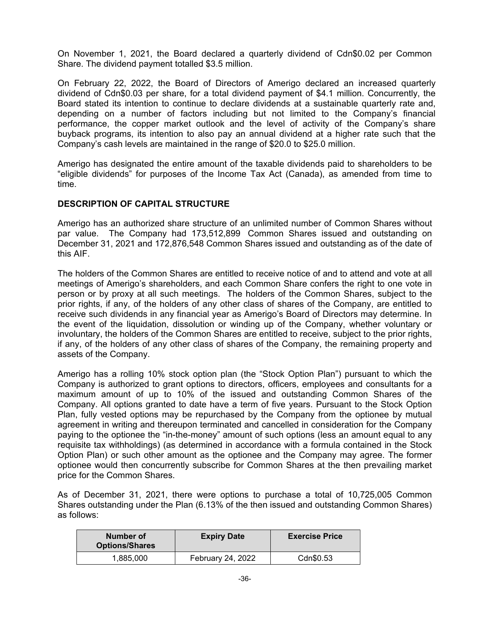On November 1, 2021, the Board declared a quarterly dividend of Cdn\$0.02 per Common Share. The dividend payment totalled \$3.5 million.

On February 22, 2022, the Board of Directors of Amerigo declared an increased quarterly dividend of Cdn\$0.03 per share, for a total dividend payment of \$4.1 million. Concurrently, the Board stated its intention to continue to declare dividends at a sustainable quarterly rate and, depending on a number of factors including but not limited to the Company's financial performance, the copper market outlook and the level of activity of the Company's share buyback programs, its intention to also pay an annual dividend at a higher rate such that the Company's cash levels are maintained in the range of \$20.0 to \$25.0 million.

Amerigo has designated the entire amount of the taxable dividends paid to shareholders to be "eligible dividends" for purposes of the Income Tax Act (Canada), as amended from time to time.

## **DESCRIPTION OF CAPITAL STRUCTURE**

Amerigo has an authorized share structure of an unlimited number of Common Shares without par value. The Company had 173,512,899 Common Shares issued and outstanding on December 31, 2021 and 172,876,548 Common Shares issued and outstanding as of the date of this AIF.

The holders of the Common Shares are entitled to receive notice of and to attend and vote at all meetings of Amerigo's shareholders, and each Common Share confers the right to one vote in person or by proxy at all such meetings. The holders of the Common Shares, subject to the prior rights, if any, of the holders of any other class of shares of the Company, are entitled to receive such dividends in any financial year as Amerigo's Board of Directors may determine. In the event of the liquidation, dissolution or winding up of the Company, whether voluntary or involuntary, the holders of the Common Shares are entitled to receive, subject to the prior rights, if any, of the holders of any other class of shares of the Company, the remaining property and assets of the Company.

Amerigo has a rolling 10% stock option plan (the "Stock Option Plan") pursuant to which the Company is authorized to grant options to directors, officers, employees and consultants for a maximum amount of up to 10% of the issued and outstanding Common Shares of the Company. All options granted to date have a term of five years. Pursuant to the Stock Option Plan, fully vested options may be repurchased by the Company from the optionee by mutual agreement in writing and thereupon terminated and cancelled in consideration for the Company paying to the optionee the "in-the-money" amount of such options (less an amount equal to any requisite tax withholdings) (as determined in accordance with a formula contained in the Stock Option Plan) or such other amount as the optionee and the Company may agree. The former optionee would then concurrently subscribe for Common Shares at the then prevailing market price for the Common Shares.

As of December 31, 2021, there were options to purchase a total of 10,725,005 Common Shares outstanding under the Plan (6.13% of the then issued and outstanding Common Shares) as follows:

| Number of<br><b>Options/Shares</b> | <b>Expiry Date</b> | <b>Exercise Price</b> |
|------------------------------------|--------------------|-----------------------|
| 1,885,000                          | February 24, 2022  | Cdn\$0.53             |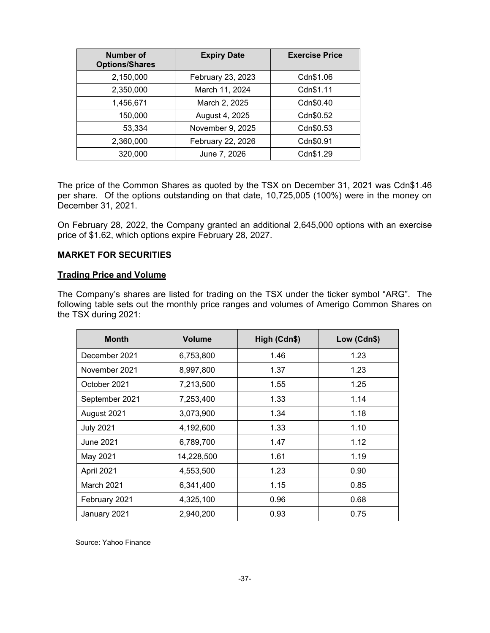| Number of<br><b>Options/Shares</b> | <b>Expiry Date</b> | <b>Exercise Price</b> |
|------------------------------------|--------------------|-----------------------|
| 2,150,000                          | February 23, 2023  | Cdn\$1.06             |
| 2,350,000                          | March 11, 2024     | Cdn\$1.11             |
| 1,456,671                          | March 2, 2025      | Cdn\$0.40             |
| 150,000                            | August 4, 2025     | Cdn\$0.52             |
| 53,334                             | November 9, 2025   | Cdn\$0.53             |
| 2,360,000                          | February 22, 2026  | Cdn\$0.91             |
| 320,000                            | June 7, 2026       | Cdn\$1.29             |

The price of the Common Shares as quoted by the TSX on December 31, 2021 was Cdn\$1.46 per share. Of the options outstanding on that date, 10,725,005 (100%) were in the money on December 31, 2021.

On February 28, 2022, the Company granted an additional 2,645,000 options with an exercise price of \$1.62, which options expire February 28, 2027.

#### **MARKET FOR SECURITIES**

## **Trading Price and Volume**

The Company's shares are listed for trading on the TSX under the ticker symbol "ARG". The following table sets out the monthly price ranges and volumes of Amerigo Common Shares on the TSX during 2021:

| <b>Month</b>      | <b>Volume</b> | High (Cdn\$) | Low (Cdn\$) |
|-------------------|---------------|--------------|-------------|
| December 2021     | 6,753,800     | 1.46         | 1.23        |
| November 2021     | 8,997,800     | 1.37         | 1.23        |
| October 2021      | 7,213,500     | 1.55         | 1.25        |
| September 2021    | 7,253,400     | 1.33         | 1.14        |
| August 2021       | 3,073,900     | 1.34         | 1.18        |
| <b>July 2021</b>  | 4,192,600     | 1.33         | 1.10        |
| June 2021         | 6,789,700     | 1.47         | 1.12        |
| May 2021          | 14,228,500    | 1.61         | 1.19        |
| April 2021        | 4,553,500     | 1.23         | 0.90        |
| <b>March 2021</b> | 6,341,400     | 1.15         | 0.85        |
| February 2021     | 4,325,100     | 0.96         | 0.68        |
| January 2021      | 2,940,200     | 0.93         | 0.75        |

Source: Yahoo Finance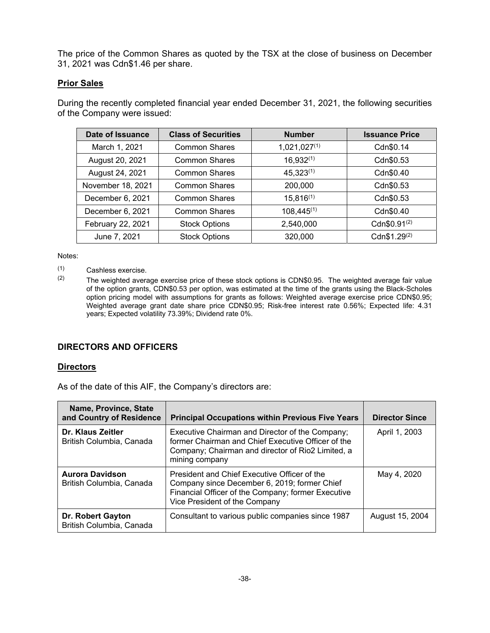The price of the Common Shares as quoted by the TSX at the close of business on December 31, 2021 was Cdn\$1.46 per share.

## **Prior Sales**

During the recently completed financial year ended December 31, 2021, the following securities of the Company were issued:

| Date of Issuance  | <b>Class of Securities</b> | <b>Number</b>     | <b>Issuance Price</b>    |
|-------------------|----------------------------|-------------------|--------------------------|
| March 1, 2021     | <b>Common Shares</b>       | $1,021,027^{(1)}$ | Cdn\$0.14                |
| August 20, 2021   | <b>Common Shares</b>       | $16,932^{(1)}$    | Cdn\$0.53                |
| August 24, 2021   | <b>Common Shares</b>       | $45,323^{(1)}$    | Cdn\$0.40                |
| November 18, 2021 | <b>Common Shares</b>       | 200,000           | Cdn\$0.53                |
| December 6, 2021  | <b>Common Shares</b>       | $15,816^{(1)}$    | Cdn\$0.53                |
| December 6, 2021  | <b>Common Shares</b>       | $108,445^{(1)}$   | Cdn\$0.40                |
| February 22, 2021 | <b>Stock Options</b>       | 2,540,000         | Cdn\$0.91 <sup>(2)</sup> |
| June 7, 2021      | <b>Stock Options</b>       | 320,000           | Cdn\$1.29(2)             |

#### Notes:

- $(1)$  Cashless exercise.<br> $(2)$  The weighted averal
	- The weighted average exercise price of these stock options is CDN\$0.95. The weighted average fair value of the option grants, CDN\$0.53 per option, was estimated at the time of the grants using the Black-Scholes option pricing model with assumptions for grants as follows: Weighted average exercise price CDN\$0.95; Weighted average grant date share price CDN\$0.95; Risk-free interest rate 0.56%; Expected life: 4.31 years; Expected volatility 73.39%; Dividend rate 0%.

## **DIRECTORS AND OFFICERS**

#### **Directors**

As of the date of this AIF, the Company's directors are:

| Name, Province, State<br>and Country of Residence  | <b>Principal Occupations within Previous Five Years</b>                                                                                                                             | <b>Director Since</b> |
|----------------------------------------------------|-------------------------------------------------------------------------------------------------------------------------------------------------------------------------------------|-----------------------|
| Dr. Klaus Zeitler<br>British Columbia, Canada      | Executive Chairman and Director of the Company;<br>former Chairman and Chief Executive Officer of the<br>Company; Chairman and director of Rio2 Limited, a<br>mining company        | April 1, 2003         |
| <b>Aurora Davidson</b><br>British Columbia, Canada | President and Chief Executive Officer of the<br>Company since December 6, 2019; former Chief<br>Financial Officer of the Company; former Executive<br>Vice President of the Company | May 4, 2020           |
| Dr. Robert Gayton<br>British Columbia, Canada      | Consultant to various public companies since 1987                                                                                                                                   | August 15, 2004       |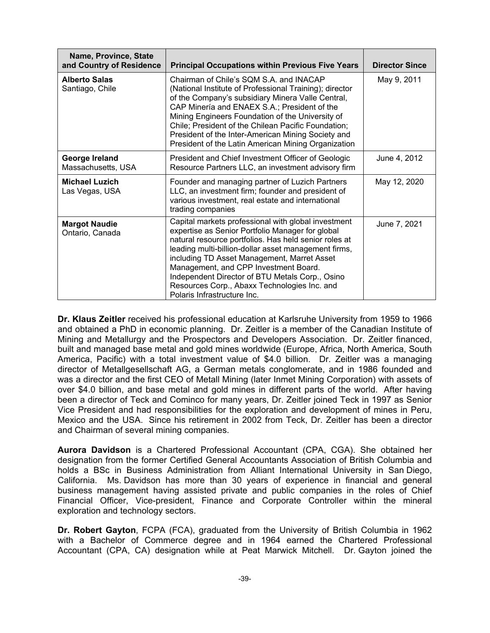| Name, Province, State<br>and Country of Residence | <b>Principal Occupations within Previous Five Years</b>                                                                                                                                                                                                                                                                                                                                                                                            | <b>Director Since</b> |
|---------------------------------------------------|----------------------------------------------------------------------------------------------------------------------------------------------------------------------------------------------------------------------------------------------------------------------------------------------------------------------------------------------------------------------------------------------------------------------------------------------------|-----------------------|
| <b>Alberto Salas</b><br>Santiago, Chile           | Chairman of Chile's SQM S.A. and INACAP<br>(National Institute of Professional Training); director<br>of the Company's subsidiary Minera Valle Central,<br>CAP Minería and ENAEX S.A.; President of the<br>Mining Engineers Foundation of the University of<br>Chile; President of the Chilean Pacific Foundation;<br>President of the Inter-American Mining Society and<br>President of the Latin American Mining Organization                    | May 9, 2011           |
| George Ireland<br>Massachusetts, USA              | President and Chief Investment Officer of Geologic<br>Resource Partners LLC, an investment advisory firm                                                                                                                                                                                                                                                                                                                                           | June 4, 2012          |
| <b>Michael Luzich</b><br>Las Vegas, USA           | Founder and managing partner of Luzich Partners<br>LLC, an investment firm; founder and president of<br>various investment, real estate and international<br>trading companies                                                                                                                                                                                                                                                                     | May 12, 2020          |
| <b>Margot Naudie</b><br>Ontario, Canada           | Capital markets professional with global investment<br>expertise as Senior Portfolio Manager for global<br>natural resource portfolios. Has held senior roles at<br>leading multi-billion-dollar asset management firms,<br>including TD Asset Management, Marret Asset<br>Management, and CPP Investment Board.<br>Independent Director of BTU Metals Corp., Osino<br>Resources Corp., Abaxx Technologies Inc. and<br>Polaris Infrastructure Inc. | June 7, 2021          |

**Dr. Klaus Zeitler** received his professional education at Karlsruhe University from 1959 to 1966 and obtained a PhD in economic planning. Dr. Zeitler is a member of the Canadian Institute of Mining and Metallurgy and the Prospectors and Developers Association. Dr. Zeitler financed, built and managed base metal and gold mines worldwide (Europe, Africa, North America, South America, Pacific) with a total investment value of \$4.0 billion. Dr. Zeitler was a managing director of Metallgesellschaft AG, a German metals conglomerate, and in 1986 founded and was a director and the first CEO of Metall Mining (later Inmet Mining Corporation) with assets of over \$4.0 billion, and base metal and gold mines in different parts of the world. After having been a director of Teck and Cominco for many years, Dr. Zeitler joined Teck in 1997 as Senior Vice President and had responsibilities for the exploration and development of mines in Peru, Mexico and the USA. Since his retirement in 2002 from Teck, Dr. Zeitler has been a director and Chairman of several mining companies.

**Aurora Davidson** is a Chartered Professional Accountant (CPA, CGA). She obtained her designation from the former Certified General Accountants Association of British Columbia and holds a BSc in Business Administration from Alliant International University in San Diego, California. Ms. Davidson has more than 30 years of experience in financial and general business management having assisted private and public companies in the roles of Chief Financial Officer, Vice-president, Finance and Corporate Controller within the mineral exploration and technology sectors.

**Dr. Robert Gayton**, FCPA (FCA), graduated from the University of British Columbia in 1962 with a Bachelor of Commerce degree and in 1964 earned the Chartered Professional Accountant (CPA, CA) designation while at Peat Marwick Mitchell. Dr. Gayton joined the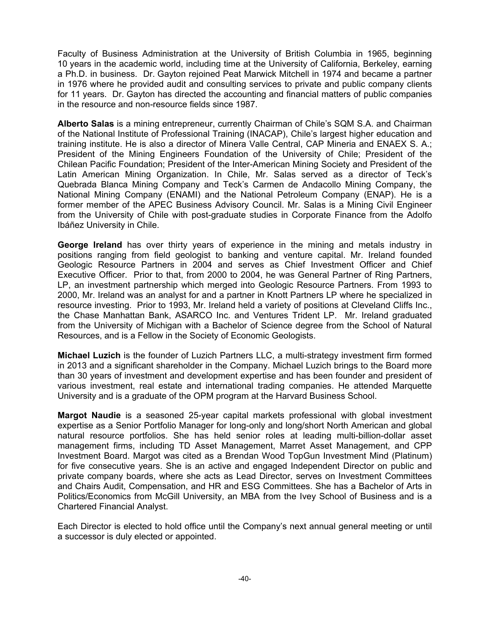Faculty of Business Administration at the University of British Columbia in 1965, beginning 10 years in the academic world, including time at the University of California, Berkeley, earning a Ph.D. in business. Dr. Gayton rejoined Peat Marwick Mitchell in 1974 and became a partner in 1976 where he provided audit and consulting services to private and public company clients for 11 years. Dr. Gayton has directed the accounting and financial matters of public companies in the resource and non-resource fields since 1987.

**Alberto Salas** is a mining entrepreneur, currently Chairman of Chile's SQM S.A. and Chairman of the National Institute of Professional Training (INACAP), Chile's largest higher education and training institute. He is also a director of Minera Valle Central, CAP Mineria and ENAEX S. A.; President of the Mining Engineers Foundation of the University of Chile; President of the Chilean Pacific Foundation; President of the Inter-American Mining Society and President of the Latin American Mining Organization. In Chile, Mr. Salas served as a director of Teck's Quebrada Blanca Mining Company and Teck's Carmen de Andacollo Mining Company, the National Mining Company (ENAMI) and the National Petroleum Company (ENAP). He is a former member of the APEC Business Advisory Council. Mr. Salas is a Mining Civil Engineer from the University of Chile with post-graduate studies in Corporate Finance from the Adolfo Ibáñez University in Chile.

**George Ireland** has over thirty years of experience in the mining and metals industry in positions ranging from field geologist to banking and venture capital. Mr. Ireland founded Geologic Resource Partners in 2004 and serves as Chief Investment Officer and Chief Executive Officer. Prior to that, from 2000 to 2004, he was General Partner of Ring Partners, LP, an investment partnership which merged into Geologic Resource Partners. From 1993 to 2000, Mr. Ireland was an analyst for and a partner in Knott Partners LP where he specialized in resource investing. Prior to 1993, Mr. Ireland held a variety of positions at Cleveland Cliffs Inc., the Chase Manhattan Bank, ASARCO Inc. and Ventures Trident LP. Mr. Ireland graduated from the University of Michigan with a Bachelor of Science degree from the School of Natural Resources, and is a Fellow in the Society of Economic Geologists.

**Michael Luzich** is the founder of Luzich Partners LLC, a multi-strategy investment firm formed in 2013 and a significant shareholder in the Company. Michael Luzich brings to the Board more than 30 years of investment and development expertise and has been founder and president of various investment, real estate and international trading companies. He attended Marquette University and is a graduate of the OPM program at the Harvard Business School.

**Margot Naudie** is a seasoned 25-year capital markets professional with global investment expertise as a Senior Portfolio Manager for long-only and long/short North American and global natural resource portfolios. She has held senior roles at leading multi-billion-dollar asset management firms, including TD Asset Management, Marret Asset Management, and CPP Investment Board. Margot was cited as a Brendan Wood TopGun Investment Mind (Platinum) for five consecutive years. She is an active and engaged Independent Director on public and private company boards, where she acts as Lead Director, serves on Investment Committees and Chairs Audit, Compensation, and HR and ESG Committees. She has a Bachelor of Arts in Politics/Economics from McGill University, an MBA from the Ivey School of Business and is a Chartered Financial Analyst.

Each Director is elected to hold office until the Company's next annual general meeting or until a successor is duly elected or appointed.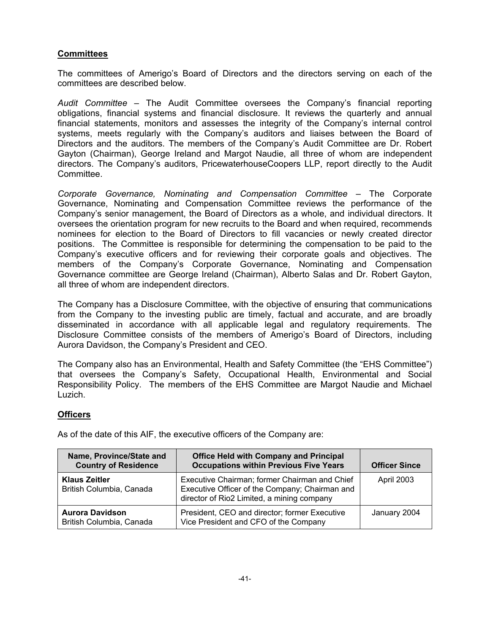## **Committees**

The committees of Amerigo's Board of Directors and the directors serving on each of the committees are described below.

*Audit Committee* – The Audit Committee oversees the Company's financial reporting obligations, financial systems and financial disclosure. It reviews the quarterly and annual financial statements, monitors and assesses the integrity of the Company's internal control systems, meets regularly with the Company's auditors and liaises between the Board of Directors and the auditors. The members of the Company's Audit Committee are Dr. Robert Gayton (Chairman), George Ireland and Margot Naudie, all three of whom are independent directors. The Company's auditors, PricewaterhouseCoopers LLP, report directly to the Audit **Committee** 

*Corporate Governance, Nominating and Compensation Committee* – The Corporate Governance, Nominating and Compensation Committee reviews the performance of the Company's senior management, the Board of Directors as a whole, and individual directors. It oversees the orientation program for new recruits to the Board and when required, recommends nominees for election to the Board of Directors to fill vacancies or newly created director positions. The Committee is responsible for determining the compensation to be paid to the Company's executive officers and for reviewing their corporate goals and objectives. The members of the Company's Corporate Governance, Nominating and Compensation Governance committee are George Ireland (Chairman), Alberto Salas and Dr. Robert Gayton, all three of whom are independent directors.

The Company has a Disclosure Committee, with the objective of ensuring that communications from the Company to the investing public are timely, factual and accurate, and are broadly disseminated in accordance with all applicable legal and regulatory requirements. The Disclosure Committee consists of the members of Amerigo's Board of Directors, including Aurora Davidson, the Company's President and CEO.

The Company also has an Environmental, Health and Safety Committee (the "EHS Committee") that oversees the Company's Safety, Occupational Health, Environmental and Social Responsibility Policy. The members of the EHS Committee are Margot Naudie and Michael Luzich.

## **Officers**

As of the date of this AIF, the executive officers of the Company are:

| Name, Province/State and<br><b>Country of Residence</b> | <b>Office Held with Company and Principal</b><br><b>Occupations within Previous Five Years</b>                                                | <b>Officer Since</b> |
|---------------------------------------------------------|-----------------------------------------------------------------------------------------------------------------------------------------------|----------------------|
| <b>Klaus Zeitler</b><br>British Columbia, Canada        | Executive Chairman; former Chairman and Chief<br>Executive Officer of the Company; Chairman and<br>director of Rio2 Limited, a mining company | <b>April 2003</b>    |
| <b>Aurora Davidson</b><br>British Columbia, Canada      | President, CEO and director; former Executive<br>Vice President and CFO of the Company                                                        | January 2004         |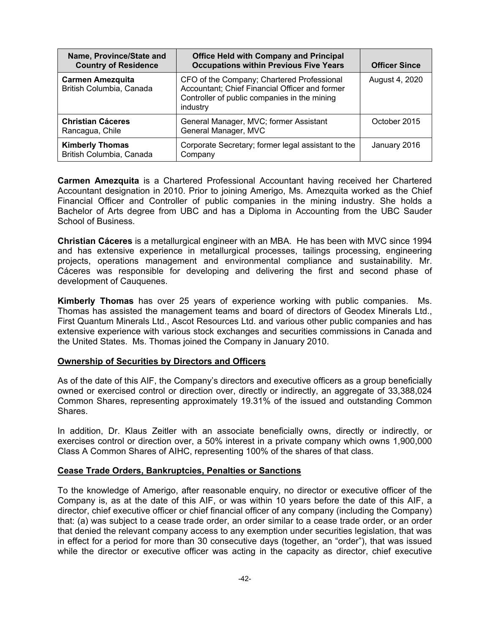| Name, Province/State and<br><b>Country of Residence</b> | <b>Office Held with Company and Principal</b><br><b>Occupations within Previous Five Years</b>                                                           | <b>Officer Since</b> |
|---------------------------------------------------------|----------------------------------------------------------------------------------------------------------------------------------------------------------|----------------------|
| <b>Carmen Amezquita</b><br>British Columbia, Canada     | CFO of the Company; Chartered Professional<br>Accountant; Chief Financial Officer and former<br>Controller of public companies in the mining<br>industry | August 4, 2020       |
| <b>Christian Cáceres</b><br>Rancagua, Chile             | General Manager, MVC; former Assistant<br>General Manager, MVC                                                                                           | October 2015         |
| <b>Kimberly Thomas</b><br>British Columbia, Canada      | Corporate Secretary; former legal assistant to the<br>Company                                                                                            | January 2016         |

**Carmen Amezquita** is a Chartered Professional Accountant having received her Chartered Accountant designation in 2010. Prior to joining Amerigo, Ms. Amezquita worked as the Chief Financial Officer and Controller of public companies in the mining industry. She holds a Bachelor of Arts degree from UBC and has a Diploma in Accounting from the UBC Sauder School of Business.

**Christian Cáceres** is a metallurgical engineer with an MBA. He has been with MVC since 1994 and has extensive experience in metallurgical processes, tailings processing, engineering projects, operations management and environmental compliance and sustainability. Mr. Cáceres was responsible for developing and delivering the first and second phase of development of Cauquenes.

**Kimberly Thomas** has over 25 years of experience working with public companies. Ms. Thomas has assisted the management teams and board of directors of Geodex Minerals Ltd., First Quantum Minerals Ltd., Ascot Resources Ltd. and various other public companies and has extensive experience with various stock exchanges and securities commissions in Canada and the United States. Ms. Thomas joined the Company in January 2010.

#### **Ownership of Securities by Directors and Officers**

As of the date of this AIF, the Company's directors and executive officers as a group beneficially owned or exercised control or direction over, directly or indirectly, an aggregate of 33,388,024 Common Shares, representing approximately 19.31% of the issued and outstanding Common Shares.

In addition, Dr. Klaus Zeitler with an associate beneficially owns, directly or indirectly, or exercises control or direction over, a 50% interest in a private company which owns 1,900,000 Class A Common Shares of AIHC, representing 100% of the shares of that class.

#### **Cease Trade Orders, Bankruptcies, Penalties or Sanctions**

To the knowledge of Amerigo, after reasonable enquiry, no director or executive officer of the Company is, as at the date of this AIF, or was within 10 years before the date of this AIF, a director, chief executive officer or chief financial officer of any company (including the Company) that: (a) was subject to a cease trade order, an order similar to a cease trade order, or an order that denied the relevant company access to any exemption under securities legislation, that was in effect for a period for more than 30 consecutive days (together, an "order"), that was issued while the director or executive officer was acting in the capacity as director, chief executive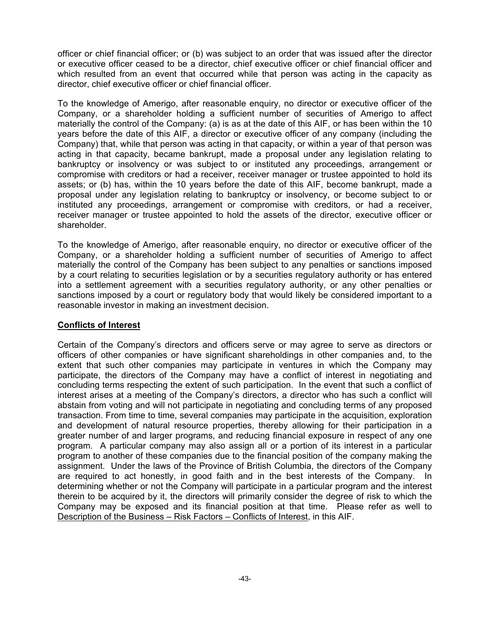officer or chief financial officer; or (b) was subject to an order that was issued after the director or executive officer ceased to be a director, chief executive officer or chief financial officer and which resulted from an event that occurred while that person was acting in the capacity as director, chief executive officer or chief financial officer.

To the knowledge of Amerigo, after reasonable enquiry, no director or executive officer of the Company, or a shareholder holding a sufficient number of securities of Amerigo to affect materially the control of the Company: (a) is as at the date of this AIF, or has been within the 10 years before the date of this AIF, a director or executive officer of any company (including the Company) that, while that person was acting in that capacity, or within a year of that person was acting in that capacity, became bankrupt, made a proposal under any legislation relating to bankruptcy or insolvency or was subject to or instituted any proceedings, arrangement or compromise with creditors or had a receiver, receiver manager or trustee appointed to hold its assets; or (b) has, within the 10 years before the date of this AIF, become bankrupt, made a proposal under any legislation relating to bankruptcy or insolvency, or become subject to or instituted any proceedings, arrangement or compromise with creditors, or had a receiver, receiver manager or trustee appointed to hold the assets of the director, executive officer or shareholder.

To the knowledge of Amerigo, after reasonable enquiry, no director or executive officer of the Company, or a shareholder holding a sufficient number of securities of Amerigo to affect materially the control of the Company has been subject to any penalties or sanctions imposed by a court relating to securities legislation or by a securities regulatory authority or has entered into a settlement agreement with a securities regulatory authority, or any other penalties or sanctions imposed by a court or regulatory body that would likely be considered important to a reasonable investor in making an investment decision.

## **Conflicts of Interest**

Certain of the Company's directors and officers serve or may agree to serve as directors or officers of other companies or have significant shareholdings in other companies and, to the extent that such other companies may participate in ventures in which the Company may participate, the directors of the Company may have a conflict of interest in negotiating and concluding terms respecting the extent of such participation. In the event that such a conflict of interest arises at a meeting of the Company's directors, a director who has such a conflict will abstain from voting and will not participate in negotiating and concluding terms of any proposed transaction. From time to time, several companies may participate in the acquisition, exploration and development of natural resource properties, thereby allowing for their participation in a greater number of and larger programs, and reducing financial exposure in respect of any one program. A particular company may also assign all or a portion of its interest in a particular program to another of these companies due to the financial position of the company making the assignment. Under the laws of the Province of British Columbia, the directors of the Company are required to act honestly, in good faith and in the best interests of the Company. In determining whether or not the Company will participate in a particular program and the interest therein to be acquired by it, the directors will primarily consider the degree of risk to which the Company may be exposed and its financial position at that time. Please refer as well to Description of the Business – Risk Factors – Conflicts of Interest, in this AIF.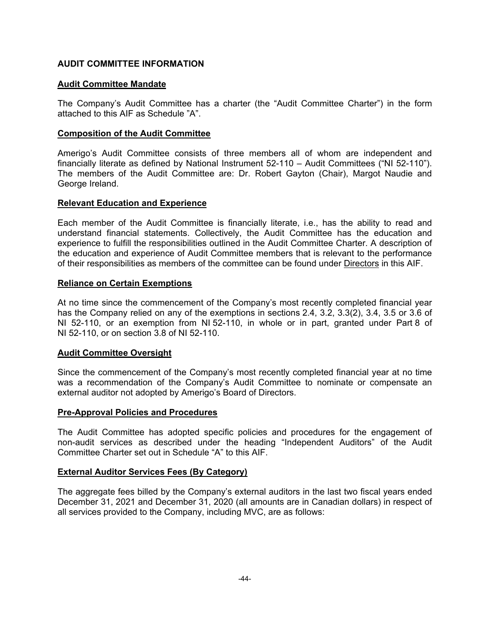## **AUDIT COMMITTEE INFORMATION**

#### **Audit Committee Mandate**

The Company's Audit Committee has a charter (the "Audit Committee Charter") in the form attached to this AIF as Schedule "A".

#### **Composition of the Audit Committee**

Amerigo's Audit Committee consists of three members all of whom are independent and financially literate as defined by National Instrument 52-110 – Audit Committees ("NI 52-110"). The members of the Audit Committee are: Dr. Robert Gayton (Chair), Margot Naudie and George Ireland.

#### **Relevant Education and Experience**

Each member of the Audit Committee is financially literate, i.e., has the ability to read and understand financial statements. Collectively, the Audit Committee has the education and experience to fulfill the responsibilities outlined in the Audit Committee Charter. A description of the education and experience of Audit Committee members that is relevant to the performance of their responsibilities as members of the committee can be found under Directors in this AIF.

## **Reliance on Certain Exemptions**

At no time since the commencement of the Company's most recently completed financial year has the Company relied on any of the exemptions in sections 2.4, 3.2, 3.3(2), 3.4, 3.5 or 3.6 of NI 52-110, or an exemption from NI 52-110, in whole or in part, granted under Part 8 of NI 52-110, or on section 3.8 of NI 52-110.

#### **Audit Committee Oversight**

Since the commencement of the Company's most recently completed financial year at no time was a recommendation of the Company's Audit Committee to nominate or compensate an external auditor not adopted by Amerigo's Board of Directors.

#### **Pre-Approval Policies and Procedures**

The Audit Committee has adopted specific policies and procedures for the engagement of non-audit services as described under the heading "Independent Auditors" of the Audit Committee Charter set out in Schedule "A" to this AIF.

#### **External Auditor Services Fees (By Category)**

The aggregate fees billed by the Company's external auditors in the last two fiscal years ended December 31, 2021 and December 31, 2020 (all amounts are in Canadian dollars) in respect of all services provided to the Company, including MVC, are as follows: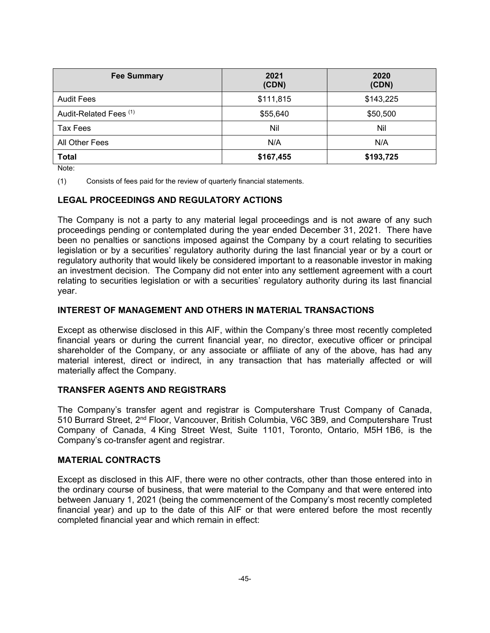| <b>Fee Summary</b>                | 2021<br>(CDN) | 2020<br>(CDN) |
|-----------------------------------|---------------|---------------|
| <b>Audit Fees</b>                 | \$111,815     | \$143,225     |
| Audit-Related Fees <sup>(1)</sup> | \$55,640      | \$50,500      |
| Tax Fees                          | Nil           | Nil           |
| All Other Fees                    | N/A           | N/A           |
| <b>Total</b>                      | \$167,455     | \$193,725     |

Note:

(1) Consists of fees paid for the review of quarterly financial statements.

## **LEGAL PROCEEDINGS AND REGULATORY ACTIONS**

The Company is not a party to any material legal proceedings and is not aware of any such proceedings pending or contemplated during the year ended December 31, 2021. There have been no penalties or sanctions imposed against the Company by a court relating to securities legislation or by a securities' regulatory authority during the last financial year or by a court or regulatory authority that would likely be considered important to a reasonable investor in making an investment decision. The Company did not enter into any settlement agreement with a court relating to securities legislation or with a securities' regulatory authority during its last financial year.

#### **INTEREST OF MANAGEMENT AND OTHERS IN MATERIAL TRANSACTIONS**

Except as otherwise disclosed in this AIF, within the Company's three most recently completed financial years or during the current financial year, no director, executive officer or principal shareholder of the Company, or any associate or affiliate of any of the above, has had any material interest, direct or indirect, in any transaction that has materially affected or will materially affect the Company.

#### **TRANSFER AGENTS AND REGISTRARS**

The Company's transfer agent and registrar is Computershare Trust Company of Canada, 510 Burrard Street, 2nd Floor, Vancouver, British Columbia, V6C 3B9, and Computershare Trust Company of Canada, 4 King Street West, Suite 1101, Toronto, Ontario, M5H 1B6, is the Company's co-transfer agent and registrar.

#### **MATERIAL CONTRACTS**

Except as disclosed in this AIF, there were no other contracts, other than those entered into in the ordinary course of business, that were material to the Company and that were entered into between January 1, 2021 (being the commencement of the Company's most recently completed financial year) and up to the date of this AIF or that were entered before the most recently completed financial year and which remain in effect: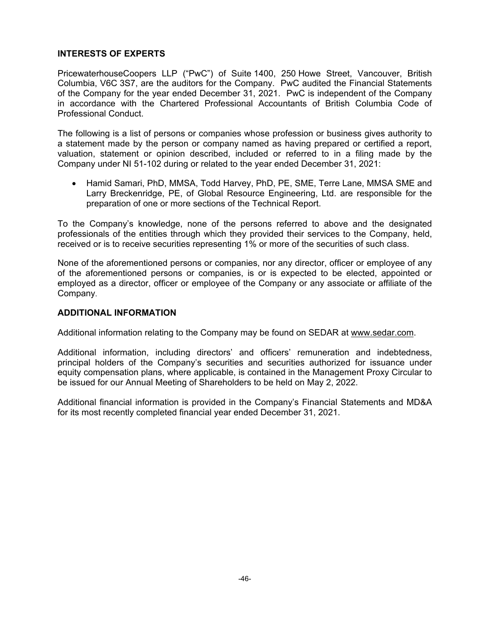## **INTERESTS OF EXPERTS**

PricewaterhouseCoopers LLP ("PwC") of Suite 1400, 250 Howe Street, Vancouver, British Columbia, V6C 3S7, are the auditors for the Company. PwC audited the Financial Statements of the Company for the year ended December 31, 2021. PwC is independent of the Company in accordance with the Chartered Professional Accountants of British Columbia Code of Professional Conduct.

The following is a list of persons or companies whose profession or business gives authority to a statement made by the person or company named as having prepared or certified a report, valuation, statement or opinion described, included or referred to in a filing made by the Company under NI 51-102 during or related to the year ended December 31, 2021:

 Hamid Samari, PhD, MMSA, Todd Harvey, PhD, PE, SME, Terre Lane, MMSA SME and Larry Breckenridge, PE, of Global Resource Engineering, Ltd. are responsible for the preparation of one or more sections of the Technical Report.

To the Company's knowledge, none of the persons referred to above and the designated professionals of the entities through which they provided their services to the Company, held, received or is to receive securities representing 1% or more of the securities of such class.

None of the aforementioned persons or companies, nor any director, officer or employee of any of the aforementioned persons or companies, is or is expected to be elected, appointed or employed as a director, officer or employee of the Company or any associate or affiliate of the Company.

## **ADDITIONAL INFORMATION**

Additional information relating to the Company may be found on SEDAR at www.sedar.com.

Additional information, including directors' and officers' remuneration and indebtedness, principal holders of the Company's securities and securities authorized for issuance under equity compensation plans, where applicable, is contained in the Management Proxy Circular to be issued for our Annual Meeting of Shareholders to be held on May 2, 2022.

Additional financial information is provided in the Company's Financial Statements and MD&A for its most recently completed financial year ended December 31, 2021.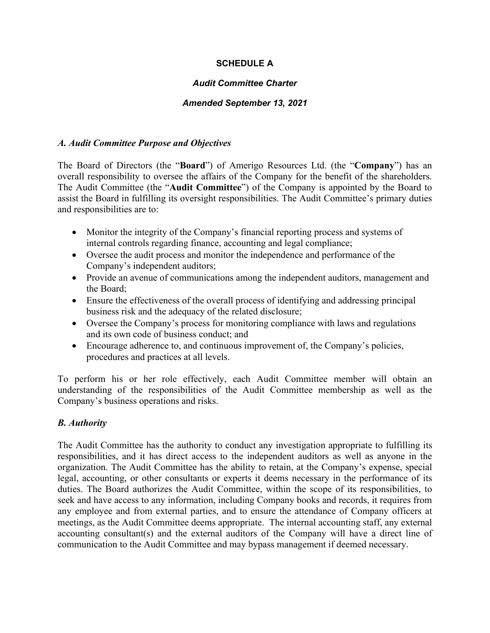## **SCHEDULE A**

## *Audit Committee Charter*

## *Amended September 13, 2021*

## *A. Audit Committee Purpose and Objectives*

The Board of Directors (the "**Board**") of Amerigo Resources Ltd. (the "**Company**") has an overall responsibility to oversee the affairs of the Company for the benefit of the shareholders. The Audit Committee (the "**Audit Committee**") of the Company is appointed by the Board to assist the Board in fulfilling its oversight responsibilities. The Audit Committee's primary duties and responsibilities are to:

- Monitor the integrity of the Company's financial reporting process and systems of internal controls regarding finance, accounting and legal compliance;
- Oversee the audit process and monitor the independence and performance of the Company's independent auditors;
- Provide an avenue of communications among the independent auditors, management and the Board;
- Ensure the effectiveness of the overall process of identifying and addressing principal business risk and the adequacy of the related disclosure;
- Oversee the Company's process for monitoring compliance with laws and regulations and its own code of business conduct; and
- Encourage adherence to, and continuous improvement of, the Company's policies, procedures and practices at all levels.

To perform his or her role effectively, each Audit Committee member will obtain an understanding of the responsibilities of the Audit Committee membership as well as the Company's business operations and risks.

## *B. Authority*

The Audit Committee has the authority to conduct any investigation appropriate to fulfilling its responsibilities, and it has direct access to the independent auditors as well as anyone in the organization. The Audit Committee has the ability to retain, at the Company's expense, special legal, accounting, or other consultants or experts it deems necessary in the performance of its duties. The Board authorizes the Audit Committee, within the scope of its responsibilities, to seek and have access to any information, including Company books and records, it requires from any employee and from external parties, and to ensure the attendance of Company officers at meetings, as the Audit Committee deems appropriate. The internal accounting staff, any external accounting consultant(s) and the external auditors of the Company will have a direct line of communication to the Audit Committee and may bypass management if deemed necessary.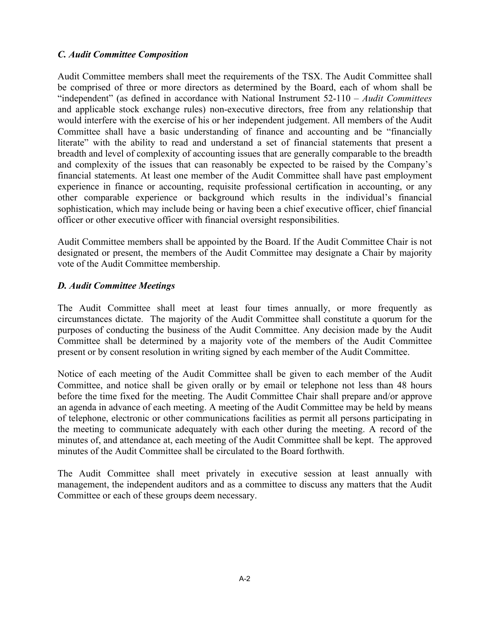## *C. Audit Committee Composition*

Audit Committee members shall meet the requirements of the TSX. The Audit Committee shall be comprised of three or more directors as determined by the Board, each of whom shall be "independent" (as defined in accordance with National Instrument 52-110 *– Audit Committees* and applicable stock exchange rules) non-executive directors, free from any relationship that would interfere with the exercise of his or her independent judgement. All members of the Audit Committee shall have a basic understanding of finance and accounting and be "financially literate" with the ability to read and understand a set of financial statements that present a breadth and level of complexity of accounting issues that are generally comparable to the breadth and complexity of the issues that can reasonably be expected to be raised by the Company's financial statements. At least one member of the Audit Committee shall have past employment experience in finance or accounting, requisite professional certification in accounting, or any other comparable experience or background which results in the individual's financial sophistication, which may include being or having been a chief executive officer, chief financial officer or other executive officer with financial oversight responsibilities.

Audit Committee members shall be appointed by the Board. If the Audit Committee Chair is not designated or present, the members of the Audit Committee may designate a Chair by majority vote of the Audit Committee membership.

## *D. Audit Committee Meetings*

The Audit Committee shall meet at least four times annually, or more frequently as circumstances dictate. The majority of the Audit Committee shall constitute a quorum for the purposes of conducting the business of the Audit Committee. Any decision made by the Audit Committee shall be determined by a majority vote of the members of the Audit Committee present or by consent resolution in writing signed by each member of the Audit Committee.

Notice of each meeting of the Audit Committee shall be given to each member of the Audit Committee, and notice shall be given orally or by email or telephone not less than 48 hours before the time fixed for the meeting. The Audit Committee Chair shall prepare and/or approve an agenda in advance of each meeting. A meeting of the Audit Committee may be held by means of telephone, electronic or other communications facilities as permit all persons participating in the meeting to communicate adequately with each other during the meeting. A record of the minutes of, and attendance at, each meeting of the Audit Committee shall be kept. The approved minutes of the Audit Committee shall be circulated to the Board forthwith.

The Audit Committee shall meet privately in executive session at least annually with management, the independent auditors and as a committee to discuss any matters that the Audit Committee or each of these groups deem necessary.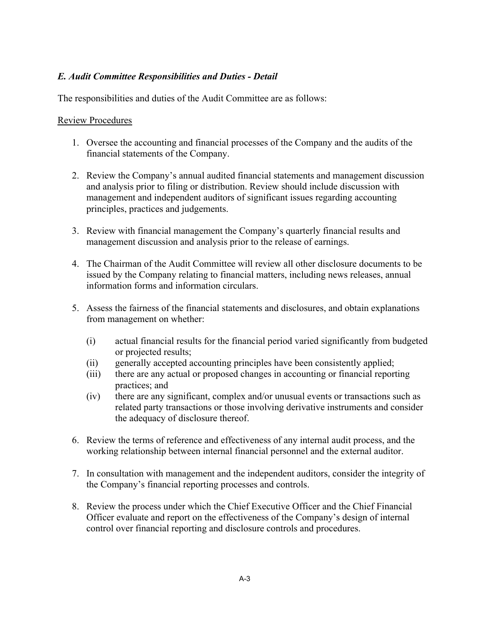## *E. Audit Committee Responsibilities and Duties - Detail*

The responsibilities and duties of the Audit Committee are as follows:

#### Review Procedures

- 1. Oversee the accounting and financial processes of the Company and the audits of the financial statements of the Company.
- 2. Review the Company's annual audited financial statements and management discussion and analysis prior to filing or distribution. Review should include discussion with management and independent auditors of significant issues regarding accounting principles, practices and judgements.
- 3. Review with financial management the Company's quarterly financial results and management discussion and analysis prior to the release of earnings.
- 4. The Chairman of the Audit Committee will review all other disclosure documents to be issued by the Company relating to financial matters, including news releases, annual information forms and information circulars.
- 5. Assess the fairness of the financial statements and disclosures, and obtain explanations from management on whether:
	- (i) actual financial results for the financial period varied significantly from budgeted or projected results;
	- (ii) generally accepted accounting principles have been consistently applied;
	- (iii) there are any actual or proposed changes in accounting or financial reporting practices; and
	- (iv) there are any significant, complex and/or unusual events or transactions such as related party transactions or those involving derivative instruments and consider the adequacy of disclosure thereof.
- 6. Review the terms of reference and effectiveness of any internal audit process, and the working relationship between internal financial personnel and the external auditor.
- 7. In consultation with management and the independent auditors, consider the integrity of the Company's financial reporting processes and controls.
- 8. Review the process under which the Chief Executive Officer and the Chief Financial Officer evaluate and report on the effectiveness of the Company's design of internal control over financial reporting and disclosure controls and procedures.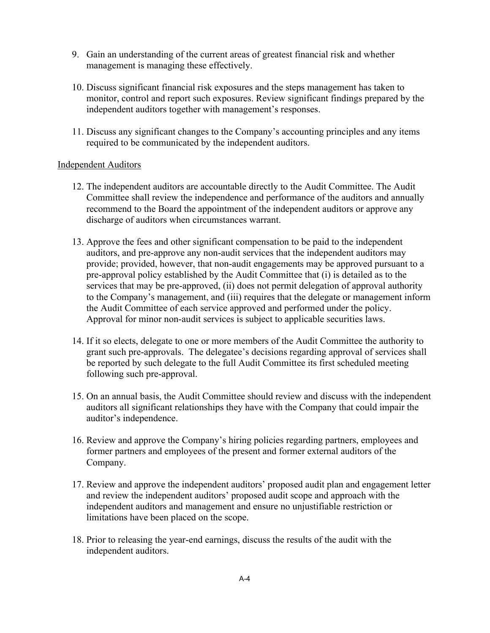- 9. Gain an understanding of the current areas of greatest financial risk and whether management is managing these effectively.
- 10. Discuss significant financial risk exposures and the steps management has taken to monitor, control and report such exposures. Review significant findings prepared by the independent auditors together with management's responses.
- 11. Discuss any significant changes to the Company's accounting principles and any items required to be communicated by the independent auditors.

#### Independent Auditors

- 12. The independent auditors are accountable directly to the Audit Committee. The Audit Committee shall review the independence and performance of the auditors and annually recommend to the Board the appointment of the independent auditors or approve any discharge of auditors when circumstances warrant.
- 13. Approve the fees and other significant compensation to be paid to the independent auditors, and pre-approve any non-audit services that the independent auditors may provide; provided, however, that non-audit engagements may be approved pursuant to a pre-approval policy established by the Audit Committee that (i) is detailed as to the services that may be pre-approved, (ii) does not permit delegation of approval authority to the Company's management, and (iii) requires that the delegate or management inform the Audit Committee of each service approved and performed under the policy. Approval for minor non-audit services is subject to applicable securities laws.
- 14. If it so elects, delegate to one or more members of the Audit Committee the authority to grant such pre-approvals. The delegatee's decisions regarding approval of services shall be reported by such delegate to the full Audit Committee its first scheduled meeting following such pre-approval.
- 15. On an annual basis, the Audit Committee should review and discuss with the independent auditors all significant relationships they have with the Company that could impair the auditor's independence.
- 16. Review and approve the Company's hiring policies regarding partners, employees and former partners and employees of the present and former external auditors of the Company.
- 17. Review and approve the independent auditors' proposed audit plan and engagement letter and review the independent auditors' proposed audit scope and approach with the independent auditors and management and ensure no unjustifiable restriction or limitations have been placed on the scope.
- 18. Prior to releasing the year-end earnings, discuss the results of the audit with the independent auditors.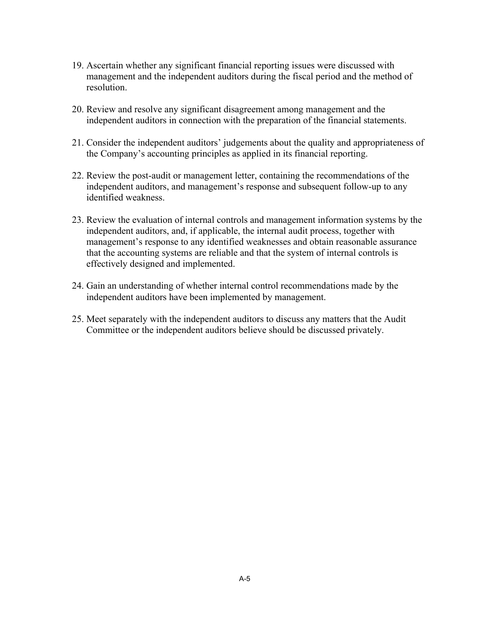- 19. Ascertain whether any significant financial reporting issues were discussed with management and the independent auditors during the fiscal period and the method of resolution.
- 20. Review and resolve any significant disagreement among management and the independent auditors in connection with the preparation of the financial statements.
- 21. Consider the independent auditors' judgements about the quality and appropriateness of the Company's accounting principles as applied in its financial reporting.
- 22. Review the post-audit or management letter, containing the recommendations of the independent auditors, and management's response and subsequent follow-up to any identified weakness.
- 23. Review the evaluation of internal controls and management information systems by the independent auditors, and, if applicable, the internal audit process, together with management's response to any identified weaknesses and obtain reasonable assurance that the accounting systems are reliable and that the system of internal controls is effectively designed and implemented.
- 24. Gain an understanding of whether internal control recommendations made by the independent auditors have been implemented by management.
- 25. Meet separately with the independent auditors to discuss any matters that the Audit Committee or the independent auditors believe should be discussed privately.